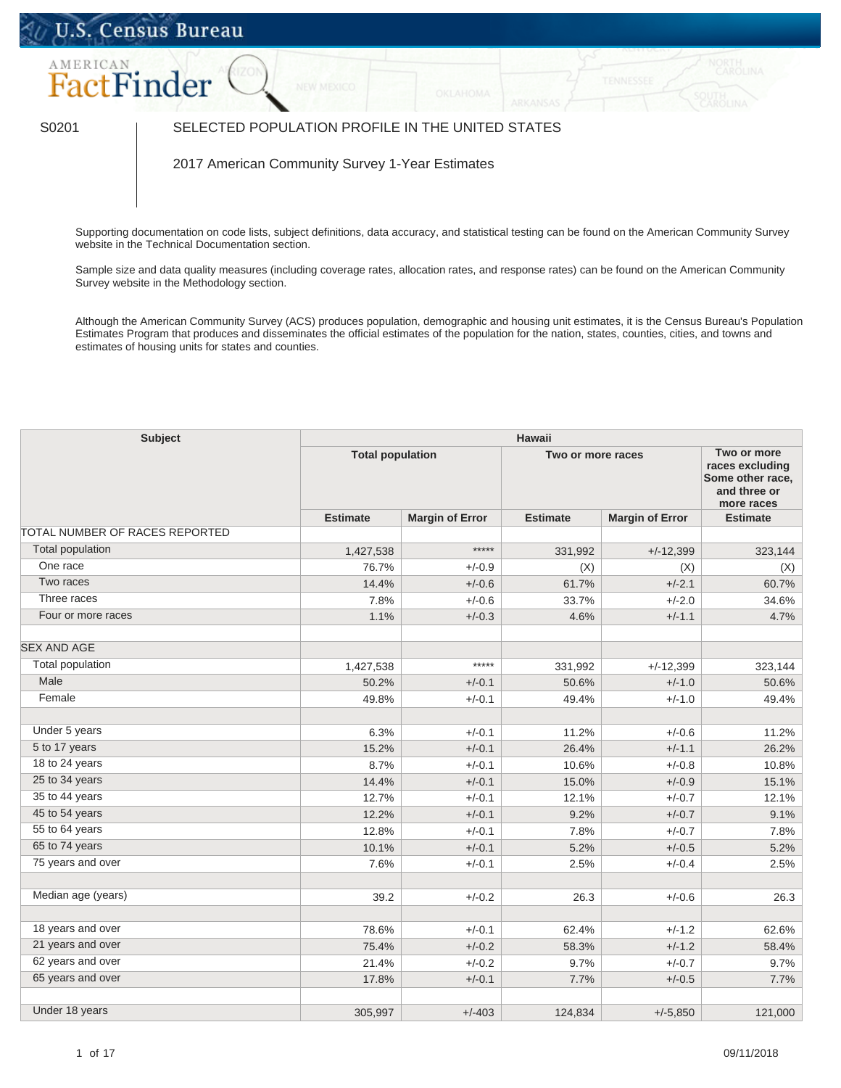## U.S. Census Bureau



## S0201 SELECTED POPULATION PROFILE IN THE UNITED STATES

2017 American Community Survey 1-Year Estimates

Supporting documentation on code lists, subject definitions, data accuracy, and statistical testing can be found on the American Community Survey website in the [Technical Documentation](https://www.census.gov/programs-surveys/acs/technical-documentation/code-lists.html) section.

Sample size and data quality measures (including coverage rates, allocation rates, and response rates) can be found on the American Community Survey website in the [Methodology](https://www.census.gov/acs/www/methodology/sample_size_and_data_quality/) section.

Although the American Community Survey (ACS) produces population, demographic and housing unit estimates, it is the Census Bureau's Population Estimates Program that produces and disseminates the official estimates of the population for the nation, states, counties, cities, and towns and estimates of housing units for states and counties.

| <b>Subject</b>                 | <b>Hawaii</b>   |                        |                   |                        |                                                                                  |  |
|--------------------------------|-----------------|------------------------|-------------------|------------------------|----------------------------------------------------------------------------------|--|
| <b>Total population</b>        |                 |                        | Two or more races |                        | Two or more<br>races excluding<br>Some other race,<br>and three or<br>more races |  |
|                                | <b>Estimate</b> | <b>Margin of Error</b> | <b>Estimate</b>   | <b>Margin of Error</b> | <b>Estimate</b>                                                                  |  |
| TOTAL NUMBER OF RACES REPORTED |                 |                        |                   |                        |                                                                                  |  |
| <b>Total population</b>        | 1,427,538       | $****$                 | 331,992           | $+/-12,399$            | 323,144                                                                          |  |
| One race                       | 76.7%           | $+/-0.9$               | (X)               | (X)                    | (X)                                                                              |  |
| Two races                      | 14.4%           | $+/-0.6$               | 61.7%             | $+/-2.1$               | 60.7%                                                                            |  |
| Three races                    | 7.8%            | $+/-0.6$               | 33.7%             | $+/-2.0$               | 34.6%                                                                            |  |
| Four or more races             | 1.1%            | $+/-0.3$               | 4.6%              | $+/-1.1$               | 4.7%                                                                             |  |
| <b>SEX AND AGE</b>             |                 |                        |                   |                        |                                                                                  |  |
| Total population               | 1,427,538       | *****                  | 331,992           | $+/-12,399$            | 323,144                                                                          |  |
| Male                           | 50.2%           | $+/-0.1$               | 50.6%             | $+/-1.0$               | 50.6%                                                                            |  |
| Female                         | 49.8%           | $+/-0.1$               | 49.4%             | $+/-1.0$               | 49.4%                                                                            |  |
| Under 5 years                  | 6.3%            | $+/-0.1$               | 11.2%             | $+/-0.6$               | 11.2%                                                                            |  |
| 5 to 17 years                  | 15.2%           | $+/-0.1$               | 26.4%             | $+/-1.1$               | 26.2%                                                                            |  |
| 18 to 24 years                 | 8.7%            | $+/-0.1$               | 10.6%             | $+/-0.8$               | 10.8%                                                                            |  |
| 25 to 34 years                 | 14.4%           | $+/-0.1$               | 15.0%             | $+/-0.9$               | 15.1%                                                                            |  |
| 35 to 44 years                 | 12.7%           | $+/-0.1$               | 12.1%             | $+/-0.7$               | 12.1%                                                                            |  |
| 45 to 54 years                 | 12.2%           | $+/-0.1$               | 9.2%              | $+/-0.7$               | 9.1%                                                                             |  |
| 55 to 64 years                 | 12.8%           | $+/-0.1$               | 7.8%              | $+/-0.7$               | 7.8%                                                                             |  |
| 65 to 74 years                 | 10.1%           | $+/-0.1$               | 5.2%              | $+/-0.5$               | 5.2%                                                                             |  |
| 75 years and over              | 7.6%            | $+/-0.1$               | 2.5%              | $+/-0.4$               | 2.5%                                                                             |  |
| Median age (years)             | 39.2            | $+/-0.2$               | 26.3              | $+/-0.6$               | 26.3                                                                             |  |
|                                |                 |                        |                   |                        |                                                                                  |  |
| 18 years and over              | 78.6%           | $+/-0.1$               | 62.4%             | $+/-1.2$               | 62.6%                                                                            |  |
| 21 years and over              | 75.4%           | $+/-0.2$               | 58.3%             | $+/-1.2$               | 58.4%                                                                            |  |
| 62 years and over              | 21.4%           | $+/-0.2$               | 9.7%              | $+/-0.7$               | 9.7%                                                                             |  |
| 65 years and over              | 17.8%           | $+/-0.1$               | 7.7%              | $+/-0.5$               | 7.7%                                                                             |  |
| Under 18 years                 | 305,997         | $+/-403$               | 124,834           | $+/-5,850$             | 121,000                                                                          |  |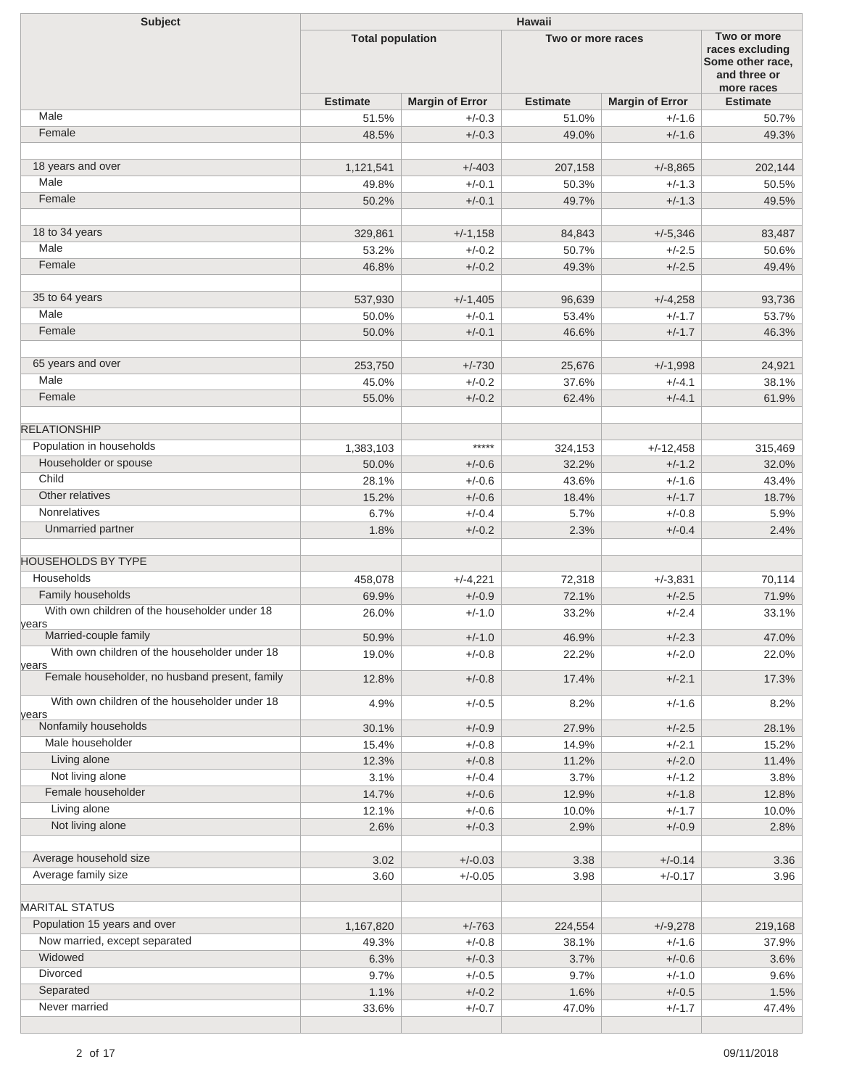| <b>Subject</b>                                          | <b>Hawaii</b>           |                        |                   |                                                                                  |                 |  |
|---------------------------------------------------------|-------------------------|------------------------|-------------------|----------------------------------------------------------------------------------|-----------------|--|
|                                                         | <b>Total population</b> |                        | Two or more races | Two or more<br>races excluding<br>Some other race,<br>and three or<br>more races |                 |  |
|                                                         | <b>Estimate</b>         | <b>Margin of Error</b> | <b>Estimate</b>   | <b>Margin of Error</b>                                                           | <b>Estimate</b> |  |
| Male                                                    | 51.5%                   | $+/-0.3$               | 51.0%             | $+/-1.6$                                                                         | 50.7%           |  |
| Female                                                  | 48.5%                   | $+/-0.3$               | 49.0%             | $+/-1.6$                                                                         | 49.3%           |  |
| 18 years and over                                       | 1,121,541               | $+/-403$               | 207,158           | $+/-8,865$                                                                       | 202,144         |  |
| Male                                                    | 49.8%                   | $+/-0.1$               | 50.3%             | $+/-1.3$                                                                         | 50.5%           |  |
| Female                                                  | 50.2%                   | $+/-0.1$               | 49.7%             | $+/-1.3$                                                                         | 49.5%           |  |
| 18 to 34 years                                          | 329,861                 | $+/-1,158$             | 84,843            | $+/-5,346$                                                                       | 83,487          |  |
| Male                                                    | 53.2%                   | $+/-0.2$               | 50.7%             | $+/-2.5$                                                                         | 50.6%           |  |
| Female                                                  | 46.8%                   | $+/-0.2$               | 49.3%             | $+/-2.5$                                                                         | 49.4%           |  |
| 35 to 64 years                                          | 537,930                 | $+/-1,405$             | 96,639            | $+/-4,258$                                                                       | 93,736          |  |
| Male                                                    | 50.0%                   | $+/-0.1$               | 53.4%             | $+/-1.7$                                                                         | 53.7%           |  |
| Female                                                  | 50.0%                   | $+/-0.1$               | 46.6%             | $+/-1.7$                                                                         | 46.3%           |  |
| 65 years and over                                       |                         |                        |                   |                                                                                  |                 |  |
| Male                                                    | 253,750                 | $+/-730$               | 25,676<br>37.6%   | $+/-1,998$                                                                       | 24,921<br>38.1% |  |
| Female                                                  | 45.0%<br>55.0%          | $+/-0.2$<br>$+/-0.2$   | 62.4%             | $+/-4.1$<br>$+/-4.1$                                                             | 61.9%           |  |
|                                                         |                         |                        |                   |                                                                                  |                 |  |
| <b>RELATIONSHIP</b>                                     |                         | $****$                 |                   |                                                                                  |                 |  |
| Population in households                                | 1,383,103               |                        | 324,153           | $+/-12,458$                                                                      | 315,469         |  |
| Householder or spouse<br>Child                          | 50.0%<br>28.1%          | $+/-0.6$<br>$+/-0.6$   | 32.2%<br>43.6%    | $+/-1.2$<br>$+/-1.6$                                                             | 32.0%<br>43.4%  |  |
| Other relatives                                         | 15.2%                   | $+/-0.6$               | 18.4%             | $+/-1.7$                                                                         | 18.7%           |  |
| <b>Nonrelatives</b>                                     | 6.7%                    | $+/-0.4$               | 5.7%              | $+/-0.8$                                                                         | 5.9%            |  |
| Unmarried partner                                       | 1.8%                    | $+/-0.2$               | 2.3%              | $+/-0.4$                                                                         | 2.4%            |  |
|                                                         |                         |                        |                   |                                                                                  |                 |  |
| <b>HOUSEHOLDS BY TYPE</b>                               |                         |                        |                   |                                                                                  |                 |  |
| Households                                              | 458,078                 | $+/-4,221$             | 72,318            | $+/-3,831$                                                                       | 70,114          |  |
| Family households                                       | 69.9%                   | $+/-0.9$               | 72.1%             | $+/-2.5$                                                                         | 71.9%           |  |
| With own children of the householder under 18<br>years  | 26.0%                   | $+/-1.0$               | 33.2%             | $+/-2.4$                                                                         | 33.1%           |  |
| Married-couple family                                   | 50.9%                   | $+/-1.0$               | 46.9%             | $+/-2.3$                                                                         | 47.0%           |  |
| With own children of the householder under 18           | 19.0%                   | $+/-0.8$               | 22.2%             | $+/-2.0$                                                                         | 22.0%           |  |
| years<br>Female householder, no husband present, family | 12.8%                   | $+/-0.8$               | 17.4%             | $+/-2.1$                                                                         | 17.3%           |  |
| With own children of the householder under 18           | 4.9%                    | $+/-0.5$               | 8.2%              | $+/-1.6$                                                                         | 8.2%            |  |
| years<br>Nonfamily households                           | 30.1%                   | $+/-0.9$               | 27.9%             | $+/-2.5$                                                                         | 28.1%           |  |
| Male householder                                        | 15.4%                   | $+/-0.8$               | 14.9%             | $+/-2.1$                                                                         | 15.2%           |  |
| Living alone                                            | 12.3%                   | $+/-0.8$               | 11.2%             | $+/-2.0$                                                                         | 11.4%           |  |
| Not living alone                                        | 3.1%                    | $+/-0.4$               | 3.7%              | $+/-1.2$                                                                         | 3.8%            |  |
| Female householder                                      | 14.7%                   | $+/-0.6$               | 12.9%             | $+/-1.8$                                                                         | 12.8%           |  |
| Living alone                                            | 12.1%                   | $+/-0.6$               | 10.0%             | $+/-1.7$                                                                         | 10.0%           |  |
| Not living alone                                        | 2.6%                    | $+/-0.3$               | 2.9%              | $+/-0.9$                                                                         | 2.8%            |  |
| Average household size                                  | 3.02                    | $+/-0.03$              | 3.38              | $+/-0.14$                                                                        | 3.36            |  |
| Average family size                                     | 3.60                    | $+/-0.05$              | 3.98              | $+/-0.17$                                                                        | 3.96            |  |
|                                                         |                         |                        |                   |                                                                                  |                 |  |
| <b>MARITAL STATUS</b>                                   |                         |                        |                   |                                                                                  |                 |  |
| Population 15 years and over                            | 1,167,820               | $+/-763$               | 224,554           | $+/-9,278$                                                                       | 219,168         |  |
| Now married, except separated                           | 49.3%                   | $+/-0.8$               | 38.1%             | $+/-1.6$                                                                         | 37.9%           |  |
| Widowed                                                 | 6.3%                    | $+/-0.3$               | 3.7%              | $+/-0.6$                                                                         | 3.6%            |  |
| Divorced                                                | 9.7%                    | $+/-0.5$               | 9.7%              | $+/-1.0$                                                                         | 9.6%            |  |
| Separated<br>Never married                              | 1.1%<br>33.6%           | $+/-0.2$<br>$+/-0.7$   | 1.6%<br>47.0%     | $+/-0.5$<br>$+/-1.7$                                                             | 1.5%<br>47.4%   |  |
|                                                         |                         |                        |                   |                                                                                  |                 |  |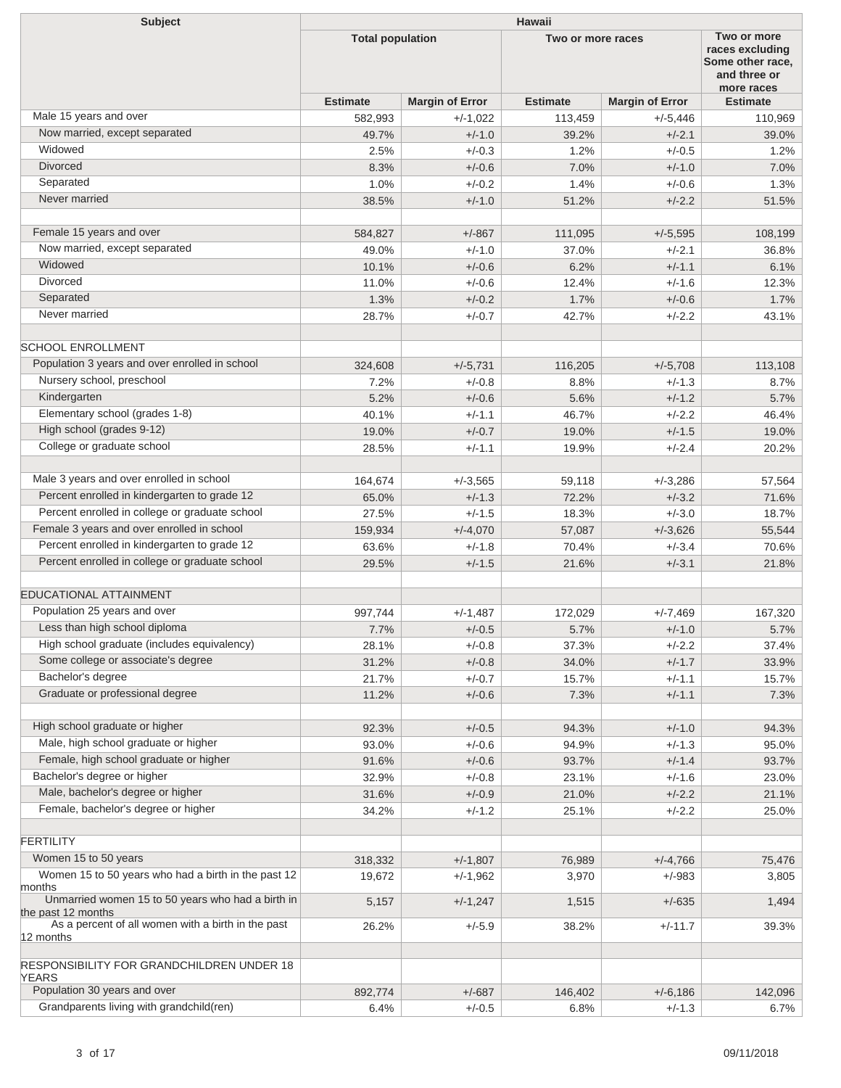| <b>Subject</b>                                                          | <b>Hawaii</b>           |                        |                   |                                                                                  |                 |  |  |
|-------------------------------------------------------------------------|-------------------------|------------------------|-------------------|----------------------------------------------------------------------------------|-----------------|--|--|
|                                                                         | <b>Total population</b> |                        | Two or more races | Two or more<br>races excluding<br>Some other race,<br>and three or<br>more races |                 |  |  |
|                                                                         | <b>Estimate</b>         | <b>Margin of Error</b> | <b>Estimate</b>   | <b>Margin of Error</b>                                                           | <b>Estimate</b> |  |  |
| Male 15 years and over                                                  | 582,993                 | $+/-1,022$             | 113,459           | $+/-5,446$                                                                       | 110,969         |  |  |
| Now married, except separated                                           | 49.7%                   | $+/-1.0$               | 39.2%             | $+/-2.1$                                                                         | 39.0%           |  |  |
| Widowed                                                                 | 2.5%                    | $+/-0.3$               | 1.2%              | $+/-0.5$                                                                         | 1.2%            |  |  |
| <b>Divorced</b>                                                         | 8.3%                    | $+/-0.6$               | 7.0%              | $+/-1.0$                                                                         | 7.0%            |  |  |
| Separated                                                               | 1.0%                    | $+/-0.2$               | 1.4%              | $+/-0.6$                                                                         | 1.3%            |  |  |
| Never married                                                           | 38.5%                   | $+/-1.0$               | 51.2%             | $+/-2.2$                                                                         | 51.5%           |  |  |
|                                                                         |                         |                        |                   |                                                                                  |                 |  |  |
| Female 15 years and over                                                | 584,827                 | $+/-867$               | 111,095           | $+/-5,595$                                                                       | 108,199         |  |  |
| Now married, except separated                                           | 49.0%                   | $+/-1.0$               | 37.0%             | $+/-2.1$                                                                         | 36.8%           |  |  |
| Widowed                                                                 | 10.1%                   | $+/-0.6$               | 6.2%              | $+/-1.1$                                                                         | 6.1%            |  |  |
| <b>Divorced</b>                                                         | 11.0%                   | $+/-0.6$               | 12.4%             | $+/-1.6$                                                                         | 12.3%           |  |  |
| Separated                                                               | 1.3%                    | $+/-0.2$               | 1.7%              | $+/-0.6$                                                                         | 1.7%            |  |  |
| Never married                                                           | 28.7%                   | $+/-0.7$               | 42.7%             | $+/-2.2$                                                                         | 43.1%           |  |  |
| <b>SCHOOL ENROLLMENT</b>                                                |                         |                        |                   |                                                                                  |                 |  |  |
| Population 3 years and over enrolled in school                          | 324,608                 | $+/-5,731$             | 116,205           | $+/-5,708$                                                                       | 113,108         |  |  |
| Nursery school, preschool                                               | 7.2%                    | $+/-0.8$               | 8.8%              | $+/-1.3$                                                                         | 8.7%            |  |  |
| Kindergarten                                                            | 5.2%                    | $+/-0.6$               | 5.6%              | $+/-1.2$                                                                         | 5.7%            |  |  |
| Elementary school (grades 1-8)                                          | 40.1%                   | $+/-1.1$               | 46.7%             | $+/-2.2$                                                                         | 46.4%           |  |  |
| High school (grades 9-12)                                               | 19.0%                   | $+/-0.7$               | 19.0%             | $+/-1.5$                                                                         | 19.0%           |  |  |
| College or graduate school                                              |                         |                        |                   | $+/-2.4$                                                                         |                 |  |  |
|                                                                         | 28.5%                   | $+/-1.1$               | 19.9%             |                                                                                  | 20.2%           |  |  |
| Male 3 years and over enrolled in school                                | 164,674                 | $+/-3,565$             | 59,118            | $+/-3,286$                                                                       | 57,564          |  |  |
| Percent enrolled in kindergarten to grade 12                            | 65.0%                   | $+/-1.3$               | 72.2%             | $+/-3.2$                                                                         | 71.6%           |  |  |
| Percent enrolled in college or graduate school                          | 27.5%                   | $+/-1.5$               | 18.3%             | $+/-3.0$                                                                         | 18.7%           |  |  |
| Female 3 years and over enrolled in school                              | 159,934                 | $+/-4,070$             | 57,087            | $+/-3,626$                                                                       | 55,544          |  |  |
| Percent enrolled in kindergarten to grade 12                            |                         | $+/-1.8$               | 70.4%             | $+/-3.4$                                                                         | 70.6%           |  |  |
| Percent enrolled in college or graduate school                          | 63.6%                   |                        | 21.6%             |                                                                                  |                 |  |  |
|                                                                         | 29.5%                   | $+/-1.5$               |                   | $+/-3.1$                                                                         | 21.8%           |  |  |
| <b>EDUCATIONAL ATTAINMENT</b>                                           |                         |                        |                   |                                                                                  |                 |  |  |
| Population 25 years and over                                            | 997,744                 | +/-1,487               | 172,029           | $+/-7,469$                                                                       | 167,320         |  |  |
| Less than high school diploma                                           | 7.7%                    | $+/-0.5$               | 5.7%              | $+/-1.0$                                                                         | 5.7%            |  |  |
| High school graduate (includes equivalency)                             | 28.1%                   | $+/-0.8$               | 37.3%             | $+/-2.2$                                                                         | 37.4%           |  |  |
| Some college or associate's degree                                      | 31.2%                   | $+/-0.8$               | 34.0%             | $+/-1.7$                                                                         | 33.9%           |  |  |
| Bachelor's degree                                                       | 21.7%                   | $+/-0.7$               | 15.7%             | $+/-1.1$                                                                         | 15.7%           |  |  |
| Graduate or professional degree                                         | 11.2%                   | $+/-0.6$               | 7.3%              | $+/-1.1$                                                                         | 7.3%            |  |  |
|                                                                         |                         |                        |                   |                                                                                  |                 |  |  |
| High school graduate or higher                                          | 92.3%                   | $+/-0.5$               | 94.3%             | $+/-1.0$                                                                         | 94.3%           |  |  |
| Male, high school graduate or higher                                    | 93.0%                   | $+/-0.6$               | 94.9%             | $+/-1.3$                                                                         | 95.0%           |  |  |
| Female, high school graduate or higher                                  | 91.6%                   | $+/-0.6$               | 93.7%             | $+/-1.4$                                                                         | 93.7%           |  |  |
| Bachelor's degree or higher                                             | 32.9%                   | $+/-0.8$               | 23.1%             | $+/-1.6$                                                                         | 23.0%           |  |  |
| Male, bachelor's degree or higher                                       | 31.6%                   | $+/-0.9$               | 21.0%             | $+/-2.2$                                                                         | 21.1%           |  |  |
| Female, bachelor's degree or higher                                     | 34.2%                   | $+/-1.2$               | 25.1%             | $+/-2.2$                                                                         | 25.0%           |  |  |
|                                                                         |                         |                        |                   |                                                                                  |                 |  |  |
| <b>FERTILITY</b>                                                        |                         |                        |                   |                                                                                  |                 |  |  |
| Women 15 to 50 years                                                    | 318,332                 | $+/-1,807$             | 76,989            | $+/-4,766$                                                                       | 75,476          |  |  |
| Women 15 to 50 years who had a birth in the past 12<br>months           | 19,672                  | $+/-1,962$             | 3,970             | $+/-983$                                                                         | 3,805           |  |  |
| Unmarried women 15 to 50 years who had a birth in<br>the past 12 months | 5,157                   | $+/-1,247$             | 1,515             | $+/-635$                                                                         | 1,494           |  |  |
| As a percent of all women with a birth in the past                      | 26.2%                   | $+/-5.9$               | 38.2%             | $+/-11.7$                                                                        | 39.3%           |  |  |
| 12 months                                                               |                         |                        |                   |                                                                                  |                 |  |  |
|                                                                         |                         |                        |                   |                                                                                  |                 |  |  |
| RESPONSIBILITY FOR GRANDCHILDREN UNDER 18<br>YEARS                      |                         |                        |                   |                                                                                  |                 |  |  |
| Population 30 years and over                                            | 892,774                 | $+/-687$               | 146,402           | $+/-6,186$                                                                       | 142,096         |  |  |
| Grandparents living with grandchild(ren)                                | 6.4%                    | $+/-0.5$               | 6.8%              | $+/-1.3$                                                                         | 6.7%            |  |  |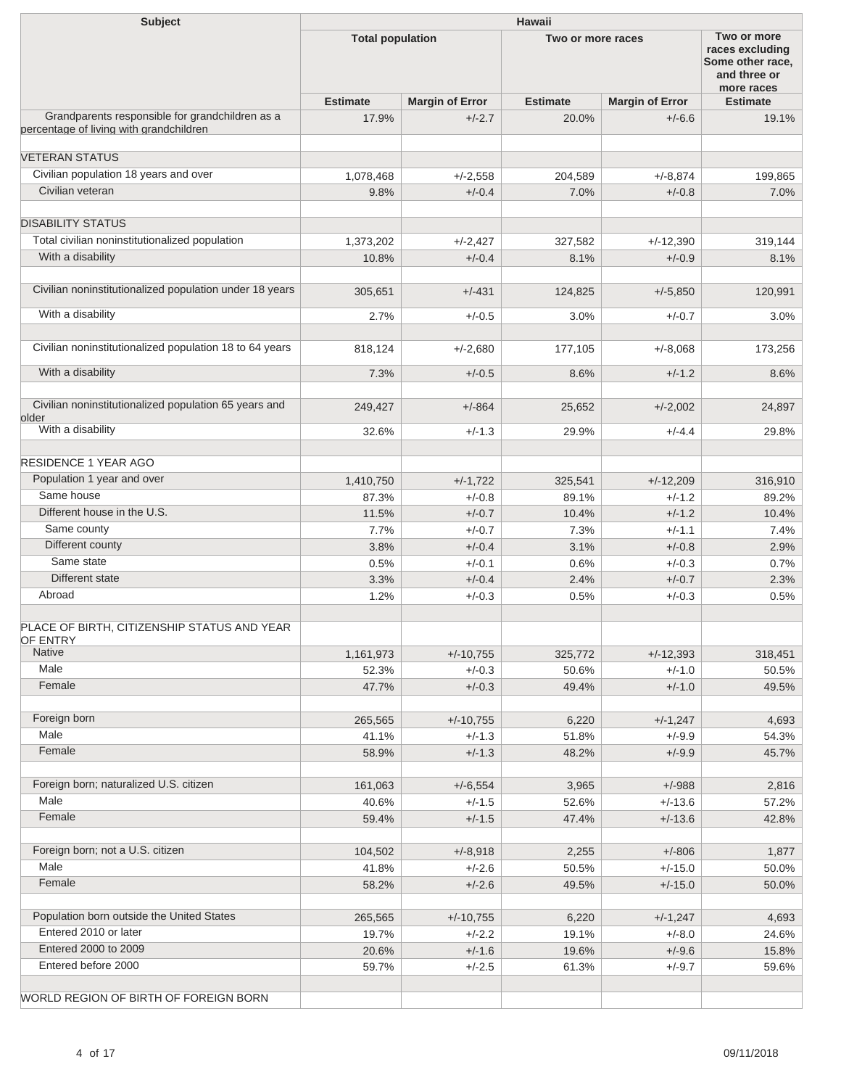| <b>Subject</b>                                                                             | Hawaii                  |                        |                   |                        |                                                                                  |  |  |
|--------------------------------------------------------------------------------------------|-------------------------|------------------------|-------------------|------------------------|----------------------------------------------------------------------------------|--|--|
|                                                                                            | <b>Total population</b> |                        | Two or more races |                        | Two or more<br>races excluding<br>Some other race,<br>and three or<br>more races |  |  |
|                                                                                            | <b>Estimate</b>         | <b>Margin of Error</b> | <b>Estimate</b>   | <b>Margin of Error</b> | <b>Estimate</b>                                                                  |  |  |
| Grandparents responsible for grandchildren as a<br>percentage of living with grandchildren | 17.9%                   | $+/-2.7$               | 20.0%             | $+/-6.6$               | 19.1%                                                                            |  |  |
| <b>VETERAN STATUS</b>                                                                      |                         |                        |                   |                        |                                                                                  |  |  |
| Civilian population 18 years and over                                                      | 1,078,468               | $+/-2.558$             | 204,589           | $+/-8.874$             | 199,865                                                                          |  |  |
| Civilian veteran                                                                           | 9.8%                    | $+/-0.4$               | 7.0%              | $+/-0.8$               | 7.0%                                                                             |  |  |
| <b>DISABILITY STATUS</b>                                                                   |                         |                        |                   |                        |                                                                                  |  |  |
| Total civilian noninstitutionalized population                                             | 1,373,202               | $+/-2,427$             | 327,582           | $+/-12,390$            | 319,144                                                                          |  |  |
| With a disability                                                                          | 10.8%                   | $+/-0.4$               | 8.1%              | $+/-0.9$               | 8.1%                                                                             |  |  |
| Civilian noninstitutionalized population under 18 years                                    | 305,651                 | $+/-431$               | 124,825           | $+/-5,850$             | 120,991                                                                          |  |  |
| With a disability                                                                          | 2.7%                    | $+/-0.5$               | 3.0%              | $+/-0.7$               | 3.0%                                                                             |  |  |
|                                                                                            |                         |                        |                   |                        |                                                                                  |  |  |
| Civilian noninstitutionalized population 18 to 64 years                                    | 818,124                 | $+/-2,680$             | 177,105           | $+/-8,068$             | 173,256                                                                          |  |  |
| With a disability                                                                          | 7.3%                    | $+/-0.5$               | 8.6%              | $+/-1.2$               | 8.6%                                                                             |  |  |
| Civilian noninstitutionalized population 65 years and                                      | 249,427                 | $+/-864$               | 25,652            | $+/-2,002$             | 24,897                                                                           |  |  |
| older<br>With a disability                                                                 | 32.6%                   | $+/-1.3$               | 29.9%             | $+/-4.4$               | 29.8%                                                                            |  |  |
| <b>RESIDENCE 1 YEAR AGO</b>                                                                |                         |                        |                   |                        |                                                                                  |  |  |
|                                                                                            |                         |                        |                   |                        |                                                                                  |  |  |
| Population 1 year and over<br>Same house                                                   | 1,410,750               | $+/-1,722$             | 325,541           | $+/-12,209$            | 316,910                                                                          |  |  |
| Different house in the U.S.                                                                | 87.3%                   | $+/-0.8$               | 89.1%             | $+/-1.2$               | 89.2%                                                                            |  |  |
|                                                                                            | 11.5%                   | $+/-0.7$               | 10.4%             | $+/-1.2$               | 10.4%                                                                            |  |  |
| Same county                                                                                | 7.7%                    | $+/-0.7$               | 7.3%              | $+/-1.1$               | 7.4%                                                                             |  |  |
| Different county                                                                           | 3.8%                    | $+/-0.4$               | 3.1%              | $+/-0.8$               | 2.9%                                                                             |  |  |
| Same state                                                                                 | 0.5%                    | $+/-0.1$               | 0.6%              | $+/-0.3$               | 0.7%                                                                             |  |  |
| Different state                                                                            | 3.3%                    | $+/-0.4$               | 2.4%              | $+/-0.7$               | 2.3%                                                                             |  |  |
| Abroad                                                                                     | 1.2%                    | $+/-0.3$               | 0.5%              | $+/-0.3$               | 0.5%                                                                             |  |  |
| PLACE OF BIRTH, CITIZENSHIP STATUS AND YEAR                                                |                         |                        |                   |                        |                                                                                  |  |  |
| OF ENTRY<br>Native                                                                         | 1,161,973               | $+/-10,755$            | 325,772           | $+/-12,393$            | 318,451                                                                          |  |  |
| Male                                                                                       | 52.3%                   | $+/-0.3$               | 50.6%             | $+/-1.0$               | 50.5%                                                                            |  |  |
| Female                                                                                     | 47.7%                   | $+/-0.3$               | 49.4%             | $+/-1.0$               | 49.5%                                                                            |  |  |
|                                                                                            |                         |                        |                   |                        |                                                                                  |  |  |
| Foreign born                                                                               | 265,565                 | $+/-10,755$            | 6,220             | $+/-1,247$             | 4,693                                                                            |  |  |
| Male                                                                                       | 41.1%                   | $+/-1.3$               | 51.8%             | $+/-9.9$               | 54.3%                                                                            |  |  |
| Female                                                                                     | 58.9%                   | $+/-1.3$               | 48.2%             | $+/-9.9$               | 45.7%                                                                            |  |  |
| Foreign born; naturalized U.S. citizen                                                     | 161,063                 | $+/-6,554$             | 3,965             | $+/-988$               | 2,816                                                                            |  |  |
| Male                                                                                       | 40.6%                   | $+/-1.5$               | 52.6%             | $+/-13.6$              | 57.2%                                                                            |  |  |
| Female                                                                                     | 59.4%                   | $+/-1.5$               | 47.4%             | $+/-13.6$              | 42.8%                                                                            |  |  |
| Foreign born; not a U.S. citizen                                                           | 104,502                 | $+/-8,918$             | 2,255             | $+/-806$               | 1,877                                                                            |  |  |
| Male                                                                                       | 41.8%                   | $+/-2.6$               | 50.5%             | $+/-15.0$              | 50.0%                                                                            |  |  |
| Female                                                                                     | 58.2%                   | $+/-2.6$               | 49.5%             | $+/-15.0$              | 50.0%                                                                            |  |  |
|                                                                                            |                         |                        |                   |                        |                                                                                  |  |  |
| Population born outside the United States                                                  | 265,565                 | $+/-10,755$            | 6,220             | $+/-1,247$             | 4,693                                                                            |  |  |
| Entered 2010 or later                                                                      | 19.7%                   | $+/-2.2$               | 19.1%             | $+/-8.0$               | 24.6%                                                                            |  |  |
| Entered 2000 to 2009                                                                       | 20.6%                   | $+/-1.6$               | 19.6%             | $+/-9.6$               | 15.8%                                                                            |  |  |
| Entered before 2000                                                                        | 59.7%                   | $+/-2.5$               | 61.3%             | $+/-9.7$               | 59.6%                                                                            |  |  |
| WORLD REGION OF BIRTH OF FOREIGN BORN                                                      |                         |                        |                   |                        |                                                                                  |  |  |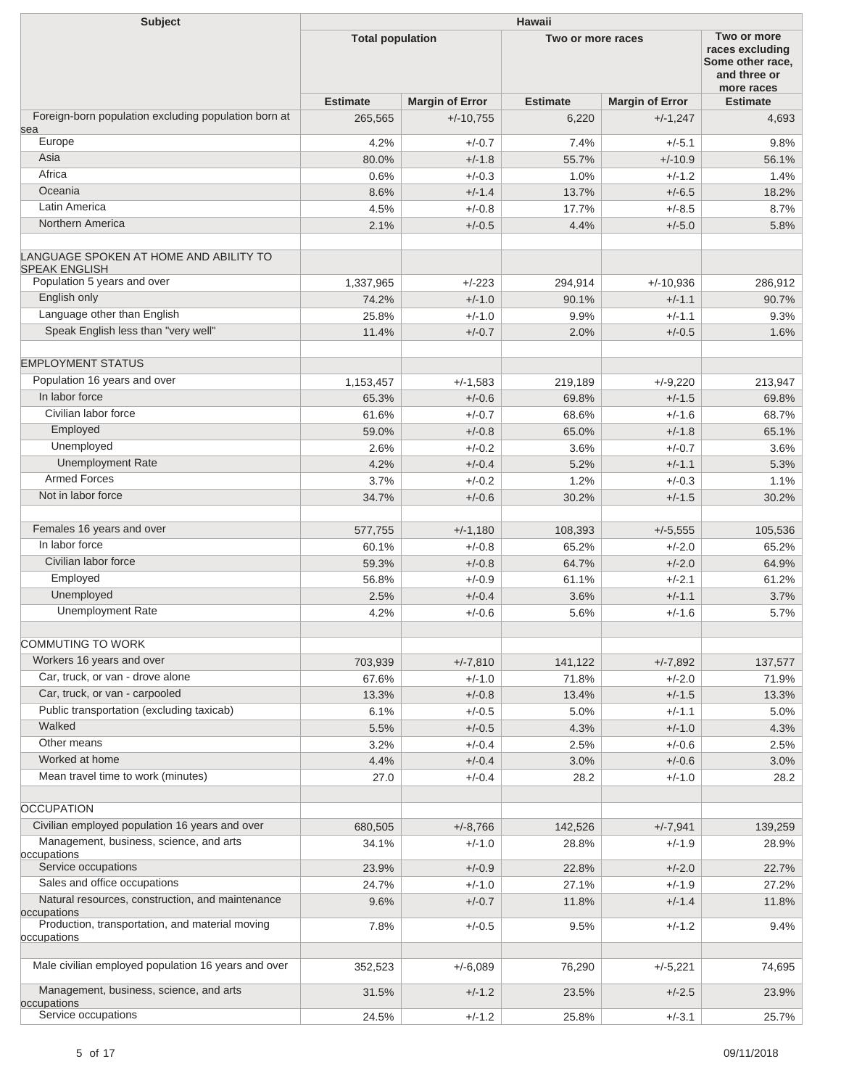| <b>Subject</b>                                                  | Hawaii                  |                        |                   |                        |                                                                                  |  |  |
|-----------------------------------------------------------------|-------------------------|------------------------|-------------------|------------------------|----------------------------------------------------------------------------------|--|--|
|                                                                 | <b>Total population</b> |                        | Two or more races |                        | Two or more<br>races excluding<br>Some other race,<br>and three or<br>more races |  |  |
|                                                                 | <b>Estimate</b>         | <b>Margin of Error</b> | <b>Estimate</b>   | <b>Margin of Error</b> | <b>Estimate</b>                                                                  |  |  |
| Foreign-born population excluding population born at            | 265,565                 | $+/-10,755$            | 6,220             | $+/-1,247$             | 4,693                                                                            |  |  |
| sea<br>Europe                                                   | 4.2%                    | $+/-0.7$               | 7.4%              | $+/-5.1$               | 9.8%                                                                             |  |  |
| Asia                                                            | 80.0%                   | $+/-1.8$               | 55.7%             | $+/-10.9$              | 56.1%                                                                            |  |  |
| Africa                                                          | 0.6%                    | $+/-0.3$               | 1.0%              | $+/-1.2$               | 1.4%                                                                             |  |  |
| Oceania                                                         | 8.6%                    | $+/-1.4$               | 13.7%             | $+/-6.5$               | 18.2%                                                                            |  |  |
| Latin America                                                   | 4.5%                    | $+/-0.8$               | 17.7%             | $+/-8.5$               | 8.7%                                                                             |  |  |
| Northern America                                                | 2.1%                    | $+/-0.5$               | 4.4%              | $+/-5.0$               | 5.8%                                                                             |  |  |
| LANGUAGE SPOKEN AT HOME AND ABILITY TO<br><b>SPEAK ENGLISH</b>  |                         |                        |                   |                        |                                                                                  |  |  |
| Population 5 years and over                                     | 1,337,965               | $+/-223$               | 294,914           | $+/-10,936$            | 286,912                                                                          |  |  |
| English only                                                    | 74.2%                   | $+/-1.0$               | 90.1%             | $+/-1.1$               | 90.7%                                                                            |  |  |
| Language other than English                                     | 25.8%                   | $+/-1.0$               | 9.9%              | $+/-1.1$               | 9.3%                                                                             |  |  |
| Speak English less than "very well"                             | 11.4%                   | $+/-0.7$               | 2.0%              | $+/-0.5$               | 1.6%                                                                             |  |  |
| <b>EMPLOYMENT STATUS</b>                                        |                         |                        |                   |                        |                                                                                  |  |  |
| Population 16 years and over                                    | 1,153,457               | $+/-1,583$             | 219,189           | $+/-9,220$             | 213,947                                                                          |  |  |
| In labor force                                                  | 65.3%                   | $+/-0.6$               | 69.8%             | $+/-1.5$               | 69.8%                                                                            |  |  |
| Civilian labor force                                            | 61.6%                   | $+/-0.7$               | 68.6%             | $+/-1.6$               | 68.7%                                                                            |  |  |
| Employed                                                        | 59.0%                   | $+/-0.8$               | 65.0%             | $+/-1.8$               | 65.1%                                                                            |  |  |
| Unemployed                                                      | 2.6%                    | $+/-0.2$               | 3.6%              | $+/-0.7$               | 3.6%                                                                             |  |  |
| <b>Unemployment Rate</b>                                        | 4.2%                    | $+/-0.4$               | 5.2%              | $+/-1.1$               | 5.3%                                                                             |  |  |
| <b>Armed Forces</b>                                             | 3.7%                    | $+/-0.2$               | 1.2%              | $+/-0.3$               | 1.1%                                                                             |  |  |
| Not in labor force                                              | 34.7%                   | $+/-0.6$               | 30.2%             | $+/-1.5$               | 30.2%                                                                            |  |  |
| Females 16 years and over                                       | 577,755                 | $+/-1,180$             | 108,393           | $+/-5,555$             | 105,536                                                                          |  |  |
| In labor force                                                  | 60.1%                   | $+/-0.8$               | 65.2%             | $+/-2.0$               | 65.2%                                                                            |  |  |
| Civilian labor force                                            | 59.3%                   | $+/-0.8$               | 64.7%             | $+/-2.0$               | 64.9%                                                                            |  |  |
| Employed                                                        | 56.8%                   | $+/-0.9$               | 61.1%             | $+/-2.1$               | 61.2%                                                                            |  |  |
| Unemployed                                                      | 2.5%                    | $+/-0.4$               | 3.6%              | $+/-1.1$               | 3.7%                                                                             |  |  |
| <b>Unemployment Rate</b>                                        | 4.2%                    | $+/-0.6$               | 5.6%              | $+/-1.6$               | 5.7%                                                                             |  |  |
| COMMUTING TO WORK                                               |                         |                        |                   |                        |                                                                                  |  |  |
| Workers 16 years and over                                       | 703,939                 | $+/-7,810$             | 141,122           | $+/-7,892$             | 137,577                                                                          |  |  |
| Car, truck, or van - drove alone                                | 67.6%                   | $+/-1.0$               | 71.8%             | $+/-2.0$               | 71.9%                                                                            |  |  |
| Car, truck, or van - carpooled                                  | 13.3%                   | $+/-0.8$               | 13.4%             | $+/-1.5$               | 13.3%                                                                            |  |  |
| Public transportation (excluding taxicab)                       | 6.1%                    | $+/-0.5$               | 5.0%              | $+/-1.1$               | 5.0%                                                                             |  |  |
| Walked                                                          | 5.5%                    | $+/-0.5$               | 4.3%              | $+/-1.0$               | 4.3%                                                                             |  |  |
| Other means                                                     | 3.2%                    | $+/-0.4$               | 2.5%              | $+/-0.6$               | 2.5%                                                                             |  |  |
| Worked at home                                                  | 4.4%                    | $+/-0.4$               | 3.0%              | $+/-0.6$               | 3.0%                                                                             |  |  |
| Mean travel time to work (minutes)                              | 27.0                    | $+/-0.4$               | 28.2              | $+/-1.0$               | 28.2                                                                             |  |  |
| <b>OCCUPATION</b>                                               |                         |                        |                   |                        |                                                                                  |  |  |
| Civilian employed population 16 years and over                  |                         |                        |                   |                        |                                                                                  |  |  |
| Management, business, science, and arts                         | 680,505<br>34.1%        | $+/-8,766$<br>$+/-1.0$ | 142,526<br>28.8%  | $+/-7,941$<br>$+/-1.9$ | 139,259<br>28.9%                                                                 |  |  |
| occupations                                                     |                         |                        |                   |                        |                                                                                  |  |  |
| Service occupations                                             | 23.9%                   | $+/-0.9$               | 22.8%             | $+/-2.0$               | 22.7%                                                                            |  |  |
| Sales and office occupations                                    | 24.7%                   | $+/-1.0$               | 27.1%             | $+/-1.9$               | 27.2%                                                                            |  |  |
| Natural resources, construction, and maintenance<br>occupations | 9.6%                    | $+/-0.7$               | 11.8%             | $+/-1.4$               | 11.8%                                                                            |  |  |
| Production, transportation, and material moving<br>occupations  | 7.8%                    | $+/-0.5$               | 9.5%              | $+/-1.2$               | 9.4%                                                                             |  |  |
|                                                                 |                         |                        |                   |                        |                                                                                  |  |  |
| Male civilian employed population 16 years and over             | 352,523                 | $+/-6,089$             | 76,290            | $+/-5,221$             | 74,695                                                                           |  |  |
| Management, business, science, and arts<br>occupations          | 31.5%                   | $+/-1.2$               | 23.5%             | $+/-2.5$               | 23.9%                                                                            |  |  |
| Service occupations                                             | 24.5%                   | $+/-1.2$               | 25.8%             | $+/-3.1$               | 25.7%                                                                            |  |  |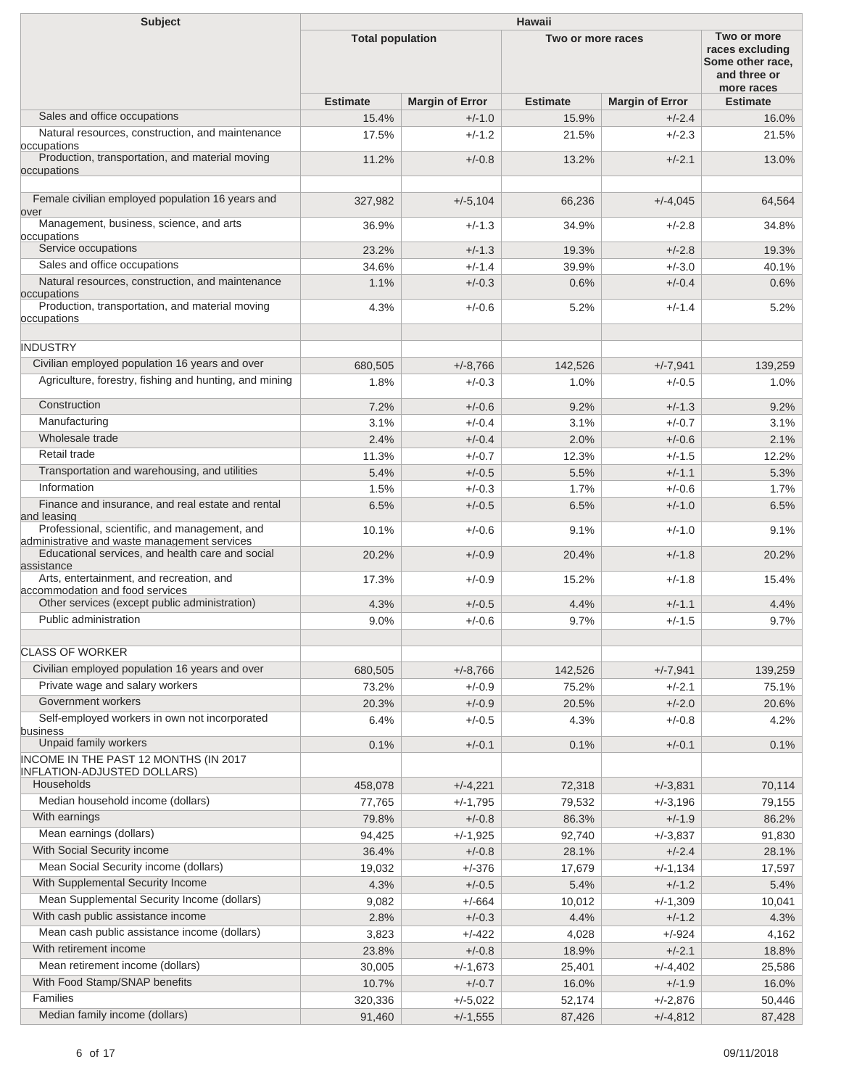| <b>Subject</b>                                                                                | <b>Hawaii</b>           |                        |                   |                        |                                                                                  |  |  |
|-----------------------------------------------------------------------------------------------|-------------------------|------------------------|-------------------|------------------------|----------------------------------------------------------------------------------|--|--|
|                                                                                               | <b>Total population</b> |                        | Two or more races |                        | Two or more<br>races excluding<br>Some other race,<br>and three or<br>more races |  |  |
|                                                                                               | <b>Estimate</b>         | <b>Margin of Error</b> | <b>Estimate</b>   | <b>Margin of Error</b> | <b>Estimate</b>                                                                  |  |  |
| Sales and office occupations                                                                  | 15.4%                   | $+/-1.0$               | 15.9%             | $+/-2.4$               | 16.0%                                                                            |  |  |
| Natural resources, construction, and maintenance                                              | 17.5%                   | $+/-1.2$               | 21.5%             | $+/-2.3$               | 21.5%                                                                            |  |  |
| occupations<br>Production, transportation, and material moving                                | 11.2%                   | $+/-0.8$               | 13.2%             | $+/-2.1$               | 13.0%                                                                            |  |  |
| occupations                                                                                   |                         |                        |                   |                        |                                                                                  |  |  |
| Female civilian employed population 16 years and                                              | 327,982                 | $+/-5,104$             | 66,236            | $+/-4,045$             | 64,564                                                                           |  |  |
| over<br>Management, business, science, and arts<br>occupations                                | 36.9%                   | $+/-1.3$               | 34.9%             | $+/-2.8$               | 34.8%                                                                            |  |  |
| Service occupations                                                                           | 23.2%                   | $+/-1.3$               | 19.3%             | $+/-2.8$               | 19.3%                                                                            |  |  |
| Sales and office occupations                                                                  | 34.6%                   | $+/-1.4$               | 39.9%             | $+/-3.0$               | 40.1%                                                                            |  |  |
| Natural resources, construction, and maintenance                                              | 1.1%                    | $+/-0.3$               | 0.6%              | $+/-0.4$               | 0.6%                                                                             |  |  |
| occupations                                                                                   |                         |                        |                   |                        |                                                                                  |  |  |
| Production, transportation, and material moving<br>occupations                                | 4.3%                    | $+/-0.6$               | 5.2%              | $+/-1.4$               | 5.2%                                                                             |  |  |
| <b>INDUSTRY</b>                                                                               |                         |                        |                   |                        |                                                                                  |  |  |
| Civilian employed population 16 years and over                                                | 680,505                 | $+/-8,766$             | 142,526           | $+/-7,941$             | 139,259                                                                          |  |  |
| Agriculture, forestry, fishing and hunting, and mining                                        | 1.8%                    | $+/-0.3$               | 1.0%              | $+/-0.5$               | 1.0%                                                                             |  |  |
| Construction                                                                                  | 7.2%                    | $+/-0.6$               | 9.2%              | $+/-1.3$               | 9.2%                                                                             |  |  |
| Manufacturing                                                                                 | 3.1%                    | $+/-0.4$               | 3.1%              | $+/-0.7$               | 3.1%                                                                             |  |  |
| Wholesale trade                                                                               | 2.4%                    | $+/-0.4$               | 2.0%              | $+/-0.6$               | 2.1%                                                                             |  |  |
| Retail trade                                                                                  | 11.3%                   | $+/-0.7$               | 12.3%             | $+/-1.5$               | 12.2%                                                                            |  |  |
| Transportation and warehousing, and utilities                                                 | 5.4%                    | $+/-0.5$               | 5.5%              | $+/-1.1$               | 5.3%                                                                             |  |  |
| Information                                                                                   | 1.5%                    | $+/-0.3$               | 1.7%              | $+/-0.6$               | 1.7%                                                                             |  |  |
| Finance and insurance, and real estate and rental<br>and leasing                              | 6.5%                    | $+/-0.5$               | 6.5%              | $+/-1.0$               | 6.5%                                                                             |  |  |
| Professional, scientific, and management, and<br>administrative and waste management services | 10.1%                   | $+/-0.6$               | 9.1%              | $+/-1.0$               | 9.1%                                                                             |  |  |
| Educational services, and health care and social<br>assistance                                | 20.2%                   | $+/-0.9$               | 20.4%             | $+/-1.8$               | 20.2%                                                                            |  |  |
| Arts, entertainment, and recreation, and<br>accommodation and food services                   | 17.3%                   | $+/-0.9$               | 15.2%             | $+/-1.8$               | 15.4%                                                                            |  |  |
| Other services (except public administration)                                                 | 4.3%                    | $+/-0.5$               | 4.4%              | $+/-1.1$               | 4.4%                                                                             |  |  |
| Public administration                                                                         | 9.0%                    | $+/-0.6$               | 9.7%              | $+/-1.5$               | 9.7%                                                                             |  |  |
| <b>CLASS OF WORKER</b>                                                                        |                         |                        |                   |                        |                                                                                  |  |  |
| Civilian employed population 16 years and over                                                | 680,505                 | $+/-8,766$             | 142,526           | $+/-7,941$             | 139,259                                                                          |  |  |
| Private wage and salary workers                                                               | 73.2%                   | $+/-0.9$               | 75.2%             | $+/-2.1$               | 75.1%                                                                            |  |  |
| Government workers                                                                            | 20.3%                   | $+/-0.9$               | 20.5%             | $+/-2.0$               | 20.6%                                                                            |  |  |
| Self-employed workers in own not incorporated<br>business                                     | 6.4%                    | $+/-0.5$               | 4.3%              | $+/-0.8$               | 4.2%                                                                             |  |  |
| Unpaid family workers                                                                         | 0.1%                    | $+/-0.1$               | 0.1%              | $+/-0.1$               | 0.1%                                                                             |  |  |
| INCOME IN THE PAST 12 MONTHS (IN 2017<br><b>INFLATION-ADJUSTED DOLLARS)</b>                   |                         |                        |                   |                        |                                                                                  |  |  |
| Households                                                                                    | 458,078                 | $+/-4,221$             | 72,318            | $+/-3,831$             | 70,114                                                                           |  |  |
| Median household income (dollars)                                                             | 77,765                  | $+/-1,795$             | 79,532            | $+/-3,196$             | 79,155                                                                           |  |  |
| With earnings                                                                                 | 79.8%                   | $+/-0.8$               | 86.3%             | $+/-1.9$               | 86.2%                                                                            |  |  |
| Mean earnings (dollars)                                                                       | 94,425                  | $+/-1,925$             | 92,740            | $+/-3,837$             | 91,830                                                                           |  |  |
| With Social Security income                                                                   | 36.4%                   | $+/-0.8$               | 28.1%             | $+/-2.4$               | 28.1%                                                                            |  |  |
| Mean Social Security income (dollars)                                                         | 19,032                  | $+/-376$               | 17,679            | $+/-1,134$             | 17,597                                                                           |  |  |
| With Supplemental Security Income                                                             | 4.3%                    | $+/-0.5$               | 5.4%              | $+/-1.2$               | 5.4%                                                                             |  |  |
| Mean Supplemental Security Income (dollars)                                                   | 9,082                   | $+/-664$               | 10,012            | $+/-1,309$             | 10,041                                                                           |  |  |
| With cash public assistance income                                                            | 2.8%                    | $+/-0.3$               | 4.4%              | $+/-1.2$               | 4.3%                                                                             |  |  |
| Mean cash public assistance income (dollars)                                                  | 3,823                   | $+/-422$               | 4,028             | $+/-924$               | 4,162                                                                            |  |  |
| With retirement income                                                                        | 23.8%                   | $+/-0.8$               | 18.9%             | $+/-2.1$               | 18.8%                                                                            |  |  |
| Mean retirement income (dollars)                                                              | 30,005                  | $+/-1,673$             | 25,401            | $+/-4,402$             | 25,586                                                                           |  |  |
| With Food Stamp/SNAP benefits                                                                 | 10.7%                   | $+/-0.7$               | 16.0%             | $+/-1.9$               | 16.0%                                                                            |  |  |
| Families                                                                                      | 320,336                 | $+/-5,022$             | 52,174            | $+/-2,876$             | 50,446                                                                           |  |  |
| Median family income (dollars)                                                                | 91,460                  | $+/-1,555$             | 87,426            | $+/-4,812$             | 87,428                                                                           |  |  |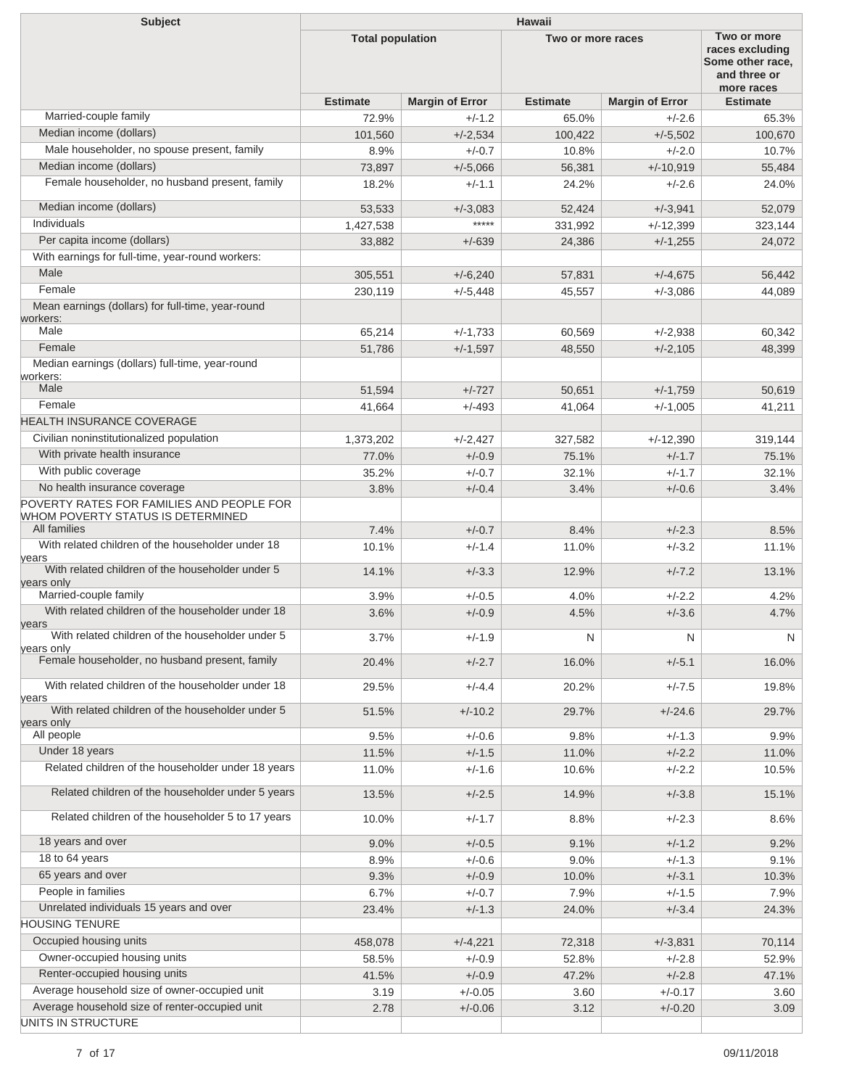| Two or more<br><b>Total population</b><br>Two or more races<br>races excluding<br>Some other race.<br>and three or<br>more races<br><b>Estimate</b><br><b>Estimate</b><br><b>Margin of Error</b><br><b>Estimate</b><br><b>Margin of Error</b><br>Married-couple family<br>$+/-1.2$<br>72.9%<br>65.0%<br>$+/-2.6$<br>65.3%<br>Median income (dollars)<br>101,560<br>$+/-2,534$<br>100,422<br>$+/-5,502$<br>100,670<br>Male householder, no spouse present, family<br>$+/-0.7$<br>$+/-2.0$<br>8.9%<br>10.8%<br>10.7%<br>Median income (dollars)<br>73,897<br>$+/-5,066$<br>56,381<br>$+/-10.919$<br>55,484<br>Female householder, no husband present, family<br>18.2%<br>$+/-1.1$<br>24.2%<br>$+/-2.6$<br>24.0%<br>Median income (dollars)<br>$+/-3,941$<br>52,079<br>53,533<br>$+/-3,083$<br>52,424<br><b>Individuals</b><br>*****<br>1,427,538<br>331,992<br>$+/-12,399$<br>323,144<br>Per capita income (dollars)<br>$+/-639$<br>24,386<br>$+/-1,255$<br>24,072<br>33,882<br>With earnings for full-time, year-round workers:<br>Male<br>305,551<br>$+/-6,240$<br>57,831<br>$+/-4.675$<br>56,442<br>Female<br>230,119<br>$+/-5,448$<br>45,557<br>$+/-3,086$<br>44,089<br>Mean earnings (dollars) for full-time, year-round<br>Male<br>65,214<br>$+/-1,733$<br>60,569<br>$+/-2.938$<br>60,342<br>Female<br>51,786<br>$+/-1,597$<br>48,550<br>$+/-2,105$<br>48,399<br>Median earnings (dollars) full-time, year-round<br>workers:<br>Male<br>51,594<br>$+/-727$<br>50,651<br>$+/-1,759$<br>50,619<br>Female<br>$+/-493$<br>41,664<br>41,064<br>$+/-1,005$<br>41,211<br><b>HEALTH INSURANCE COVERAGE</b><br>Civilian noninstitutionalized population<br>1,373,202<br>$+/-2,427$<br>327,582<br>$+/-12,390$<br>319,144<br>With private health insurance<br>$+/-0.9$<br>77.0%<br>75.1%<br>$+/-1.7$<br>75.1%<br>With public coverage<br>35.2%<br>$+/-0.7$<br>32.1%<br>$+/-1.7$<br>32.1%<br>No health insurance coverage<br>$+/-0.4$<br>3.8%<br>3.4%<br>$+/-0.6$<br>3.4%<br>POVERTY RATES FOR FAMILIES AND PEOPLE FOR<br>All families<br>7.4%<br>$+/-0.7$<br>$+/-2.3$<br>8.4%<br>8.5%<br>With related children of the householder under 18<br>10.1%<br>$+/-1.4$<br>11.0%<br>$+/-3.2$<br>11.1%<br>With related children of the householder under 5<br>$+/-3.3$<br>14.1%<br>12.9%<br>$+/-7.2$<br>13.1%<br>Married-couple family<br>3.9%<br>$+/-0.5$<br>$+/-2.2$<br>4.0%<br>4.2%<br>With related children of the householder under 18<br>4.7%<br>3.6%<br>$+/-0.9$<br>4.5%<br>$+/-3.6$<br>With related children of the householder under 5<br>3.7%<br>$+/-1.9$<br>N<br>N<br>$\mathsf{N}$<br>vears only<br>Female householder, no husband present, family<br>20.4%<br>$+/-2.7$<br>16.0%<br>$+/-5.1$<br>16.0%<br>With related children of the householder under 18<br>$+/-4.4$<br>29.5%<br>20.2%<br>$+/-7.5$<br>19.8%<br>With related children of the householder under 5<br>51.5%<br>$+/-24.6$<br>29.7%<br>$+/-10.2$<br>29.7%<br>All people<br>$+/-0.6$<br>$+/-1.3$<br>9.9%<br>9.5%<br>9.8%<br>Under 18 years<br>$+/-2.2$<br>11.5%<br>$+/-1.5$<br>11.0%<br>11.0%<br>Related children of the householder under 18 years<br>$+/-1.6$<br>$+/-2.2$<br>11.0%<br>10.6%<br>10.5%<br>Related children of the householder under 5 years<br>$+/-2.5$<br>14.9%<br>$+/-3.8$<br>15.1%<br>13.5%<br>Related children of the householder 5 to 17 years<br>$+/-1.7$<br>$+/-2.3$<br>10.0%<br>8.8%<br>8.6%<br>18 years and over<br>$+/-0.5$<br>9.1%<br>$+/-1.2$<br>9.2%<br>9.0%<br>18 to 64 years<br>$+/-0.6$<br>9.0%<br>$+/-1.3$<br>8.9%<br>9.1%<br>65 years and over<br>9.3%<br>$+/-0.9$<br>10.0%<br>$+/-3.1$<br>10.3%<br>People in families<br>$+/-0.7$<br>$+/-1.5$<br>6.7%<br>7.9%<br>7.9%<br>Unrelated individuals 15 years and over<br>$+/-1.3$<br>$+/-3.4$<br>23.4%<br>24.0%<br>24.3%<br>Occupied housing units<br>$+/-3,831$<br>458,078<br>$+/-4,221$<br>72,318<br>70,114<br>Owner-occupied housing units<br>$+/-0.9$<br>$+/-2.8$<br>58.5%<br>52.8%<br>52.9%<br>Renter-occupied housing units<br>$+/-0.9$<br>47.2%<br>$+/-2.8$<br>41.5%<br>47.1%<br>Average household size of owner-occupied unit<br>$+/-0.05$<br>$+/-0.17$<br>3.19<br>3.60<br>3.60<br>Average household size of renter-occupied unit<br>2.78<br>$+/-0.06$<br>3.12<br>$+/-0.20$<br>3.09 | <b>Subject</b>                    | <b>Hawaii</b> |  |  |  |  |  |
|----------------------------------------------------------------------------------------------------------------------------------------------------------------------------------------------------------------------------------------------------------------------------------------------------------------------------------------------------------------------------------------------------------------------------------------------------------------------------------------------------------------------------------------------------------------------------------------------------------------------------------------------------------------------------------------------------------------------------------------------------------------------------------------------------------------------------------------------------------------------------------------------------------------------------------------------------------------------------------------------------------------------------------------------------------------------------------------------------------------------------------------------------------------------------------------------------------------------------------------------------------------------------------------------------------------------------------------------------------------------------------------------------------------------------------------------------------------------------------------------------------------------------------------------------------------------------------------------------------------------------------------------------------------------------------------------------------------------------------------------------------------------------------------------------------------------------------------------------------------------------------------------------------------------------------------------------------------------------------------------------------------------------------------------------------------------------------------------------------------------------------------------------------------------------------------------------------------------------------------------------------------------------------------------------------------------------------------------------------------------------------------------------------------------------------------------------------------------------------------------------------------------------------------------------------------------------------------------------------------------------------------------------------------------------------------------------------------------------------------------------------------------------------------------------------------------------------------------------------------------------------------------------------------------------------------------------------------------------------------------------------------------------------------------------------------------------------------------------------------------------------------------------------------------------------------------------------------------------------------------------------------------------------------------------------------------------------------------------------------------------------------------------------------------------------------------------------------------------------------------------------------------------------------------------------------------------------------------------------------------------------------------------------------------------------------------------------------------------------------------------------------------------------------------------------------------------------------------------------------------------------------------------------------------------------------------------------------------------------------------------------------------------------------------------------------------------------------------------------------------------------------------------------------------------------------------------------------------------------|-----------------------------------|---------------|--|--|--|--|--|
|                                                                                                                                                                                                                                                                                                                                                                                                                                                                                                                                                                                                                                                                                                                                                                                                                                                                                                                                                                                                                                                                                                                                                                                                                                                                                                                                                                                                                                                                                                                                                                                                                                                                                                                                                                                                                                                                                                                                                                                                                                                                                                                                                                                                                                                                                                                                                                                                                                                                                                                                                                                                                                                                                                                                                                                                                                                                                                                                                                                                                                                                                                                                                                                                                                                                                                                                                                                                                                                                                                                                                                                                                                                                                                                                                                                                                                                                                                                                                                                                                                                                                                                                                                                                                                  |                                   |               |  |  |  |  |  |
|                                                                                                                                                                                                                                                                                                                                                                                                                                                                                                                                                                                                                                                                                                                                                                                                                                                                                                                                                                                                                                                                                                                                                                                                                                                                                                                                                                                                                                                                                                                                                                                                                                                                                                                                                                                                                                                                                                                                                                                                                                                                                                                                                                                                                                                                                                                                                                                                                                                                                                                                                                                                                                                                                                                                                                                                                                                                                                                                                                                                                                                                                                                                                                                                                                                                                                                                                                                                                                                                                                                                                                                                                                                                                                                                                                                                                                                                                                                                                                                                                                                                                                                                                                                                                                  |                                   |               |  |  |  |  |  |
|                                                                                                                                                                                                                                                                                                                                                                                                                                                                                                                                                                                                                                                                                                                                                                                                                                                                                                                                                                                                                                                                                                                                                                                                                                                                                                                                                                                                                                                                                                                                                                                                                                                                                                                                                                                                                                                                                                                                                                                                                                                                                                                                                                                                                                                                                                                                                                                                                                                                                                                                                                                                                                                                                                                                                                                                                                                                                                                                                                                                                                                                                                                                                                                                                                                                                                                                                                                                                                                                                                                                                                                                                                                                                                                                                                                                                                                                                                                                                                                                                                                                                                                                                                                                                                  |                                   |               |  |  |  |  |  |
|                                                                                                                                                                                                                                                                                                                                                                                                                                                                                                                                                                                                                                                                                                                                                                                                                                                                                                                                                                                                                                                                                                                                                                                                                                                                                                                                                                                                                                                                                                                                                                                                                                                                                                                                                                                                                                                                                                                                                                                                                                                                                                                                                                                                                                                                                                                                                                                                                                                                                                                                                                                                                                                                                                                                                                                                                                                                                                                                                                                                                                                                                                                                                                                                                                                                                                                                                                                                                                                                                                                                                                                                                                                                                                                                                                                                                                                                                                                                                                                                                                                                                                                                                                                                                                  |                                   |               |  |  |  |  |  |
|                                                                                                                                                                                                                                                                                                                                                                                                                                                                                                                                                                                                                                                                                                                                                                                                                                                                                                                                                                                                                                                                                                                                                                                                                                                                                                                                                                                                                                                                                                                                                                                                                                                                                                                                                                                                                                                                                                                                                                                                                                                                                                                                                                                                                                                                                                                                                                                                                                                                                                                                                                                                                                                                                                                                                                                                                                                                                                                                                                                                                                                                                                                                                                                                                                                                                                                                                                                                                                                                                                                                                                                                                                                                                                                                                                                                                                                                                                                                                                                                                                                                                                                                                                                                                                  |                                   |               |  |  |  |  |  |
|                                                                                                                                                                                                                                                                                                                                                                                                                                                                                                                                                                                                                                                                                                                                                                                                                                                                                                                                                                                                                                                                                                                                                                                                                                                                                                                                                                                                                                                                                                                                                                                                                                                                                                                                                                                                                                                                                                                                                                                                                                                                                                                                                                                                                                                                                                                                                                                                                                                                                                                                                                                                                                                                                                                                                                                                                                                                                                                                                                                                                                                                                                                                                                                                                                                                                                                                                                                                                                                                                                                                                                                                                                                                                                                                                                                                                                                                                                                                                                                                                                                                                                                                                                                                                                  |                                   |               |  |  |  |  |  |
|                                                                                                                                                                                                                                                                                                                                                                                                                                                                                                                                                                                                                                                                                                                                                                                                                                                                                                                                                                                                                                                                                                                                                                                                                                                                                                                                                                                                                                                                                                                                                                                                                                                                                                                                                                                                                                                                                                                                                                                                                                                                                                                                                                                                                                                                                                                                                                                                                                                                                                                                                                                                                                                                                                                                                                                                                                                                                                                                                                                                                                                                                                                                                                                                                                                                                                                                                                                                                                                                                                                                                                                                                                                                                                                                                                                                                                                                                                                                                                                                                                                                                                                                                                                                                                  |                                   |               |  |  |  |  |  |
|                                                                                                                                                                                                                                                                                                                                                                                                                                                                                                                                                                                                                                                                                                                                                                                                                                                                                                                                                                                                                                                                                                                                                                                                                                                                                                                                                                                                                                                                                                                                                                                                                                                                                                                                                                                                                                                                                                                                                                                                                                                                                                                                                                                                                                                                                                                                                                                                                                                                                                                                                                                                                                                                                                                                                                                                                                                                                                                                                                                                                                                                                                                                                                                                                                                                                                                                                                                                                                                                                                                                                                                                                                                                                                                                                                                                                                                                                                                                                                                                                                                                                                                                                                                                                                  |                                   |               |  |  |  |  |  |
|                                                                                                                                                                                                                                                                                                                                                                                                                                                                                                                                                                                                                                                                                                                                                                                                                                                                                                                                                                                                                                                                                                                                                                                                                                                                                                                                                                                                                                                                                                                                                                                                                                                                                                                                                                                                                                                                                                                                                                                                                                                                                                                                                                                                                                                                                                                                                                                                                                                                                                                                                                                                                                                                                                                                                                                                                                                                                                                                                                                                                                                                                                                                                                                                                                                                                                                                                                                                                                                                                                                                                                                                                                                                                                                                                                                                                                                                                                                                                                                                                                                                                                                                                                                                                                  |                                   |               |  |  |  |  |  |
|                                                                                                                                                                                                                                                                                                                                                                                                                                                                                                                                                                                                                                                                                                                                                                                                                                                                                                                                                                                                                                                                                                                                                                                                                                                                                                                                                                                                                                                                                                                                                                                                                                                                                                                                                                                                                                                                                                                                                                                                                                                                                                                                                                                                                                                                                                                                                                                                                                                                                                                                                                                                                                                                                                                                                                                                                                                                                                                                                                                                                                                                                                                                                                                                                                                                                                                                                                                                                                                                                                                                                                                                                                                                                                                                                                                                                                                                                                                                                                                                                                                                                                                                                                                                                                  |                                   |               |  |  |  |  |  |
|                                                                                                                                                                                                                                                                                                                                                                                                                                                                                                                                                                                                                                                                                                                                                                                                                                                                                                                                                                                                                                                                                                                                                                                                                                                                                                                                                                                                                                                                                                                                                                                                                                                                                                                                                                                                                                                                                                                                                                                                                                                                                                                                                                                                                                                                                                                                                                                                                                                                                                                                                                                                                                                                                                                                                                                                                                                                                                                                                                                                                                                                                                                                                                                                                                                                                                                                                                                                                                                                                                                                                                                                                                                                                                                                                                                                                                                                                                                                                                                                                                                                                                                                                                                                                                  |                                   |               |  |  |  |  |  |
|                                                                                                                                                                                                                                                                                                                                                                                                                                                                                                                                                                                                                                                                                                                                                                                                                                                                                                                                                                                                                                                                                                                                                                                                                                                                                                                                                                                                                                                                                                                                                                                                                                                                                                                                                                                                                                                                                                                                                                                                                                                                                                                                                                                                                                                                                                                                                                                                                                                                                                                                                                                                                                                                                                                                                                                                                                                                                                                                                                                                                                                                                                                                                                                                                                                                                                                                                                                                                                                                                                                                                                                                                                                                                                                                                                                                                                                                                                                                                                                                                                                                                                                                                                                                                                  |                                   |               |  |  |  |  |  |
|                                                                                                                                                                                                                                                                                                                                                                                                                                                                                                                                                                                                                                                                                                                                                                                                                                                                                                                                                                                                                                                                                                                                                                                                                                                                                                                                                                                                                                                                                                                                                                                                                                                                                                                                                                                                                                                                                                                                                                                                                                                                                                                                                                                                                                                                                                                                                                                                                                                                                                                                                                                                                                                                                                                                                                                                                                                                                                                                                                                                                                                                                                                                                                                                                                                                                                                                                                                                                                                                                                                                                                                                                                                                                                                                                                                                                                                                                                                                                                                                                                                                                                                                                                                                                                  |                                   |               |  |  |  |  |  |
|                                                                                                                                                                                                                                                                                                                                                                                                                                                                                                                                                                                                                                                                                                                                                                                                                                                                                                                                                                                                                                                                                                                                                                                                                                                                                                                                                                                                                                                                                                                                                                                                                                                                                                                                                                                                                                                                                                                                                                                                                                                                                                                                                                                                                                                                                                                                                                                                                                                                                                                                                                                                                                                                                                                                                                                                                                                                                                                                                                                                                                                                                                                                                                                                                                                                                                                                                                                                                                                                                                                                                                                                                                                                                                                                                                                                                                                                                                                                                                                                                                                                                                                                                                                                                                  |                                   |               |  |  |  |  |  |
|                                                                                                                                                                                                                                                                                                                                                                                                                                                                                                                                                                                                                                                                                                                                                                                                                                                                                                                                                                                                                                                                                                                                                                                                                                                                                                                                                                                                                                                                                                                                                                                                                                                                                                                                                                                                                                                                                                                                                                                                                                                                                                                                                                                                                                                                                                                                                                                                                                                                                                                                                                                                                                                                                                                                                                                                                                                                                                                                                                                                                                                                                                                                                                                                                                                                                                                                                                                                                                                                                                                                                                                                                                                                                                                                                                                                                                                                                                                                                                                                                                                                                                                                                                                                                                  | workers:                          |               |  |  |  |  |  |
|                                                                                                                                                                                                                                                                                                                                                                                                                                                                                                                                                                                                                                                                                                                                                                                                                                                                                                                                                                                                                                                                                                                                                                                                                                                                                                                                                                                                                                                                                                                                                                                                                                                                                                                                                                                                                                                                                                                                                                                                                                                                                                                                                                                                                                                                                                                                                                                                                                                                                                                                                                                                                                                                                                                                                                                                                                                                                                                                                                                                                                                                                                                                                                                                                                                                                                                                                                                                                                                                                                                                                                                                                                                                                                                                                                                                                                                                                                                                                                                                                                                                                                                                                                                                                                  |                                   |               |  |  |  |  |  |
|                                                                                                                                                                                                                                                                                                                                                                                                                                                                                                                                                                                                                                                                                                                                                                                                                                                                                                                                                                                                                                                                                                                                                                                                                                                                                                                                                                                                                                                                                                                                                                                                                                                                                                                                                                                                                                                                                                                                                                                                                                                                                                                                                                                                                                                                                                                                                                                                                                                                                                                                                                                                                                                                                                                                                                                                                                                                                                                                                                                                                                                                                                                                                                                                                                                                                                                                                                                                                                                                                                                                                                                                                                                                                                                                                                                                                                                                                                                                                                                                                                                                                                                                                                                                                                  |                                   |               |  |  |  |  |  |
|                                                                                                                                                                                                                                                                                                                                                                                                                                                                                                                                                                                                                                                                                                                                                                                                                                                                                                                                                                                                                                                                                                                                                                                                                                                                                                                                                                                                                                                                                                                                                                                                                                                                                                                                                                                                                                                                                                                                                                                                                                                                                                                                                                                                                                                                                                                                                                                                                                                                                                                                                                                                                                                                                                                                                                                                                                                                                                                                                                                                                                                                                                                                                                                                                                                                                                                                                                                                                                                                                                                                                                                                                                                                                                                                                                                                                                                                                                                                                                                                                                                                                                                                                                                                                                  |                                   |               |  |  |  |  |  |
|                                                                                                                                                                                                                                                                                                                                                                                                                                                                                                                                                                                                                                                                                                                                                                                                                                                                                                                                                                                                                                                                                                                                                                                                                                                                                                                                                                                                                                                                                                                                                                                                                                                                                                                                                                                                                                                                                                                                                                                                                                                                                                                                                                                                                                                                                                                                                                                                                                                                                                                                                                                                                                                                                                                                                                                                                                                                                                                                                                                                                                                                                                                                                                                                                                                                                                                                                                                                                                                                                                                                                                                                                                                                                                                                                                                                                                                                                                                                                                                                                                                                                                                                                                                                                                  |                                   |               |  |  |  |  |  |
|                                                                                                                                                                                                                                                                                                                                                                                                                                                                                                                                                                                                                                                                                                                                                                                                                                                                                                                                                                                                                                                                                                                                                                                                                                                                                                                                                                                                                                                                                                                                                                                                                                                                                                                                                                                                                                                                                                                                                                                                                                                                                                                                                                                                                                                                                                                                                                                                                                                                                                                                                                                                                                                                                                                                                                                                                                                                                                                                                                                                                                                                                                                                                                                                                                                                                                                                                                                                                                                                                                                                                                                                                                                                                                                                                                                                                                                                                                                                                                                                                                                                                                                                                                                                                                  |                                   |               |  |  |  |  |  |
|                                                                                                                                                                                                                                                                                                                                                                                                                                                                                                                                                                                                                                                                                                                                                                                                                                                                                                                                                                                                                                                                                                                                                                                                                                                                                                                                                                                                                                                                                                                                                                                                                                                                                                                                                                                                                                                                                                                                                                                                                                                                                                                                                                                                                                                                                                                                                                                                                                                                                                                                                                                                                                                                                                                                                                                                                                                                                                                                                                                                                                                                                                                                                                                                                                                                                                                                                                                                                                                                                                                                                                                                                                                                                                                                                                                                                                                                                                                                                                                                                                                                                                                                                                                                                                  |                                   |               |  |  |  |  |  |
|                                                                                                                                                                                                                                                                                                                                                                                                                                                                                                                                                                                                                                                                                                                                                                                                                                                                                                                                                                                                                                                                                                                                                                                                                                                                                                                                                                                                                                                                                                                                                                                                                                                                                                                                                                                                                                                                                                                                                                                                                                                                                                                                                                                                                                                                                                                                                                                                                                                                                                                                                                                                                                                                                                                                                                                                                                                                                                                                                                                                                                                                                                                                                                                                                                                                                                                                                                                                                                                                                                                                                                                                                                                                                                                                                                                                                                                                                                                                                                                                                                                                                                                                                                                                                                  |                                   |               |  |  |  |  |  |
|                                                                                                                                                                                                                                                                                                                                                                                                                                                                                                                                                                                                                                                                                                                                                                                                                                                                                                                                                                                                                                                                                                                                                                                                                                                                                                                                                                                                                                                                                                                                                                                                                                                                                                                                                                                                                                                                                                                                                                                                                                                                                                                                                                                                                                                                                                                                                                                                                                                                                                                                                                                                                                                                                                                                                                                                                                                                                                                                                                                                                                                                                                                                                                                                                                                                                                                                                                                                                                                                                                                                                                                                                                                                                                                                                                                                                                                                                                                                                                                                                                                                                                                                                                                                                                  |                                   |               |  |  |  |  |  |
|                                                                                                                                                                                                                                                                                                                                                                                                                                                                                                                                                                                                                                                                                                                                                                                                                                                                                                                                                                                                                                                                                                                                                                                                                                                                                                                                                                                                                                                                                                                                                                                                                                                                                                                                                                                                                                                                                                                                                                                                                                                                                                                                                                                                                                                                                                                                                                                                                                                                                                                                                                                                                                                                                                                                                                                                                                                                                                                                                                                                                                                                                                                                                                                                                                                                                                                                                                                                                                                                                                                                                                                                                                                                                                                                                                                                                                                                                                                                                                                                                                                                                                                                                                                                                                  |                                   |               |  |  |  |  |  |
|                                                                                                                                                                                                                                                                                                                                                                                                                                                                                                                                                                                                                                                                                                                                                                                                                                                                                                                                                                                                                                                                                                                                                                                                                                                                                                                                                                                                                                                                                                                                                                                                                                                                                                                                                                                                                                                                                                                                                                                                                                                                                                                                                                                                                                                                                                                                                                                                                                                                                                                                                                                                                                                                                                                                                                                                                                                                                                                                                                                                                                                                                                                                                                                                                                                                                                                                                                                                                                                                                                                                                                                                                                                                                                                                                                                                                                                                                                                                                                                                                                                                                                                                                                                                                                  |                                   |               |  |  |  |  |  |
|                                                                                                                                                                                                                                                                                                                                                                                                                                                                                                                                                                                                                                                                                                                                                                                                                                                                                                                                                                                                                                                                                                                                                                                                                                                                                                                                                                                                                                                                                                                                                                                                                                                                                                                                                                                                                                                                                                                                                                                                                                                                                                                                                                                                                                                                                                                                                                                                                                                                                                                                                                                                                                                                                                                                                                                                                                                                                                                                                                                                                                                                                                                                                                                                                                                                                                                                                                                                                                                                                                                                                                                                                                                                                                                                                                                                                                                                                                                                                                                                                                                                                                                                                                                                                                  |                                   |               |  |  |  |  |  |
|                                                                                                                                                                                                                                                                                                                                                                                                                                                                                                                                                                                                                                                                                                                                                                                                                                                                                                                                                                                                                                                                                                                                                                                                                                                                                                                                                                                                                                                                                                                                                                                                                                                                                                                                                                                                                                                                                                                                                                                                                                                                                                                                                                                                                                                                                                                                                                                                                                                                                                                                                                                                                                                                                                                                                                                                                                                                                                                                                                                                                                                                                                                                                                                                                                                                                                                                                                                                                                                                                                                                                                                                                                                                                                                                                                                                                                                                                                                                                                                                                                                                                                                                                                                                                                  | WHOM POVERTY STATUS IS DETERMINED |               |  |  |  |  |  |
|                                                                                                                                                                                                                                                                                                                                                                                                                                                                                                                                                                                                                                                                                                                                                                                                                                                                                                                                                                                                                                                                                                                                                                                                                                                                                                                                                                                                                                                                                                                                                                                                                                                                                                                                                                                                                                                                                                                                                                                                                                                                                                                                                                                                                                                                                                                                                                                                                                                                                                                                                                                                                                                                                                                                                                                                                                                                                                                                                                                                                                                                                                                                                                                                                                                                                                                                                                                                                                                                                                                                                                                                                                                                                                                                                                                                                                                                                                                                                                                                                                                                                                                                                                                                                                  |                                   |               |  |  |  |  |  |
|                                                                                                                                                                                                                                                                                                                                                                                                                                                                                                                                                                                                                                                                                                                                                                                                                                                                                                                                                                                                                                                                                                                                                                                                                                                                                                                                                                                                                                                                                                                                                                                                                                                                                                                                                                                                                                                                                                                                                                                                                                                                                                                                                                                                                                                                                                                                                                                                                                                                                                                                                                                                                                                                                                                                                                                                                                                                                                                                                                                                                                                                                                                                                                                                                                                                                                                                                                                                                                                                                                                                                                                                                                                                                                                                                                                                                                                                                                                                                                                                                                                                                                                                                                                                                                  | years                             |               |  |  |  |  |  |
|                                                                                                                                                                                                                                                                                                                                                                                                                                                                                                                                                                                                                                                                                                                                                                                                                                                                                                                                                                                                                                                                                                                                                                                                                                                                                                                                                                                                                                                                                                                                                                                                                                                                                                                                                                                                                                                                                                                                                                                                                                                                                                                                                                                                                                                                                                                                                                                                                                                                                                                                                                                                                                                                                                                                                                                                                                                                                                                                                                                                                                                                                                                                                                                                                                                                                                                                                                                                                                                                                                                                                                                                                                                                                                                                                                                                                                                                                                                                                                                                                                                                                                                                                                                                                                  | years only                        |               |  |  |  |  |  |
|                                                                                                                                                                                                                                                                                                                                                                                                                                                                                                                                                                                                                                                                                                                                                                                                                                                                                                                                                                                                                                                                                                                                                                                                                                                                                                                                                                                                                                                                                                                                                                                                                                                                                                                                                                                                                                                                                                                                                                                                                                                                                                                                                                                                                                                                                                                                                                                                                                                                                                                                                                                                                                                                                                                                                                                                                                                                                                                                                                                                                                                                                                                                                                                                                                                                                                                                                                                                                                                                                                                                                                                                                                                                                                                                                                                                                                                                                                                                                                                                                                                                                                                                                                                                                                  |                                   |               |  |  |  |  |  |
|                                                                                                                                                                                                                                                                                                                                                                                                                                                                                                                                                                                                                                                                                                                                                                                                                                                                                                                                                                                                                                                                                                                                                                                                                                                                                                                                                                                                                                                                                                                                                                                                                                                                                                                                                                                                                                                                                                                                                                                                                                                                                                                                                                                                                                                                                                                                                                                                                                                                                                                                                                                                                                                                                                                                                                                                                                                                                                                                                                                                                                                                                                                                                                                                                                                                                                                                                                                                                                                                                                                                                                                                                                                                                                                                                                                                                                                                                                                                                                                                                                                                                                                                                                                                                                  | years                             |               |  |  |  |  |  |
|                                                                                                                                                                                                                                                                                                                                                                                                                                                                                                                                                                                                                                                                                                                                                                                                                                                                                                                                                                                                                                                                                                                                                                                                                                                                                                                                                                                                                                                                                                                                                                                                                                                                                                                                                                                                                                                                                                                                                                                                                                                                                                                                                                                                                                                                                                                                                                                                                                                                                                                                                                                                                                                                                                                                                                                                                                                                                                                                                                                                                                                                                                                                                                                                                                                                                                                                                                                                                                                                                                                                                                                                                                                                                                                                                                                                                                                                                                                                                                                                                                                                                                                                                                                                                                  |                                   |               |  |  |  |  |  |
|                                                                                                                                                                                                                                                                                                                                                                                                                                                                                                                                                                                                                                                                                                                                                                                                                                                                                                                                                                                                                                                                                                                                                                                                                                                                                                                                                                                                                                                                                                                                                                                                                                                                                                                                                                                                                                                                                                                                                                                                                                                                                                                                                                                                                                                                                                                                                                                                                                                                                                                                                                                                                                                                                                                                                                                                                                                                                                                                                                                                                                                                                                                                                                                                                                                                                                                                                                                                                                                                                                                                                                                                                                                                                                                                                                                                                                                                                                                                                                                                                                                                                                                                                                                                                                  |                                   |               |  |  |  |  |  |
|                                                                                                                                                                                                                                                                                                                                                                                                                                                                                                                                                                                                                                                                                                                                                                                                                                                                                                                                                                                                                                                                                                                                                                                                                                                                                                                                                                                                                                                                                                                                                                                                                                                                                                                                                                                                                                                                                                                                                                                                                                                                                                                                                                                                                                                                                                                                                                                                                                                                                                                                                                                                                                                                                                                                                                                                                                                                                                                                                                                                                                                                                                                                                                                                                                                                                                                                                                                                                                                                                                                                                                                                                                                                                                                                                                                                                                                                                                                                                                                                                                                                                                                                                                                                                                  |                                   |               |  |  |  |  |  |
|                                                                                                                                                                                                                                                                                                                                                                                                                                                                                                                                                                                                                                                                                                                                                                                                                                                                                                                                                                                                                                                                                                                                                                                                                                                                                                                                                                                                                                                                                                                                                                                                                                                                                                                                                                                                                                                                                                                                                                                                                                                                                                                                                                                                                                                                                                                                                                                                                                                                                                                                                                                                                                                                                                                                                                                                                                                                                                                                                                                                                                                                                                                                                                                                                                                                                                                                                                                                                                                                                                                                                                                                                                                                                                                                                                                                                                                                                                                                                                                                                                                                                                                                                                                                                                  | years                             |               |  |  |  |  |  |
|                                                                                                                                                                                                                                                                                                                                                                                                                                                                                                                                                                                                                                                                                                                                                                                                                                                                                                                                                                                                                                                                                                                                                                                                                                                                                                                                                                                                                                                                                                                                                                                                                                                                                                                                                                                                                                                                                                                                                                                                                                                                                                                                                                                                                                                                                                                                                                                                                                                                                                                                                                                                                                                                                                                                                                                                                                                                                                                                                                                                                                                                                                                                                                                                                                                                                                                                                                                                                                                                                                                                                                                                                                                                                                                                                                                                                                                                                                                                                                                                                                                                                                                                                                                                                                  | years only                        |               |  |  |  |  |  |
|                                                                                                                                                                                                                                                                                                                                                                                                                                                                                                                                                                                                                                                                                                                                                                                                                                                                                                                                                                                                                                                                                                                                                                                                                                                                                                                                                                                                                                                                                                                                                                                                                                                                                                                                                                                                                                                                                                                                                                                                                                                                                                                                                                                                                                                                                                                                                                                                                                                                                                                                                                                                                                                                                                                                                                                                                                                                                                                                                                                                                                                                                                                                                                                                                                                                                                                                                                                                                                                                                                                                                                                                                                                                                                                                                                                                                                                                                                                                                                                                                                                                                                                                                                                                                                  |                                   |               |  |  |  |  |  |
|                                                                                                                                                                                                                                                                                                                                                                                                                                                                                                                                                                                                                                                                                                                                                                                                                                                                                                                                                                                                                                                                                                                                                                                                                                                                                                                                                                                                                                                                                                                                                                                                                                                                                                                                                                                                                                                                                                                                                                                                                                                                                                                                                                                                                                                                                                                                                                                                                                                                                                                                                                                                                                                                                                                                                                                                                                                                                                                                                                                                                                                                                                                                                                                                                                                                                                                                                                                                                                                                                                                                                                                                                                                                                                                                                                                                                                                                                                                                                                                                                                                                                                                                                                                                                                  |                                   |               |  |  |  |  |  |
|                                                                                                                                                                                                                                                                                                                                                                                                                                                                                                                                                                                                                                                                                                                                                                                                                                                                                                                                                                                                                                                                                                                                                                                                                                                                                                                                                                                                                                                                                                                                                                                                                                                                                                                                                                                                                                                                                                                                                                                                                                                                                                                                                                                                                                                                                                                                                                                                                                                                                                                                                                                                                                                                                                                                                                                                                                                                                                                                                                                                                                                                                                                                                                                                                                                                                                                                                                                                                                                                                                                                                                                                                                                                                                                                                                                                                                                                                                                                                                                                                                                                                                                                                                                                                                  |                                   |               |  |  |  |  |  |
|                                                                                                                                                                                                                                                                                                                                                                                                                                                                                                                                                                                                                                                                                                                                                                                                                                                                                                                                                                                                                                                                                                                                                                                                                                                                                                                                                                                                                                                                                                                                                                                                                                                                                                                                                                                                                                                                                                                                                                                                                                                                                                                                                                                                                                                                                                                                                                                                                                                                                                                                                                                                                                                                                                                                                                                                                                                                                                                                                                                                                                                                                                                                                                                                                                                                                                                                                                                                                                                                                                                                                                                                                                                                                                                                                                                                                                                                                                                                                                                                                                                                                                                                                                                                                                  |                                   |               |  |  |  |  |  |
|                                                                                                                                                                                                                                                                                                                                                                                                                                                                                                                                                                                                                                                                                                                                                                                                                                                                                                                                                                                                                                                                                                                                                                                                                                                                                                                                                                                                                                                                                                                                                                                                                                                                                                                                                                                                                                                                                                                                                                                                                                                                                                                                                                                                                                                                                                                                                                                                                                                                                                                                                                                                                                                                                                                                                                                                                                                                                                                                                                                                                                                                                                                                                                                                                                                                                                                                                                                                                                                                                                                                                                                                                                                                                                                                                                                                                                                                                                                                                                                                                                                                                                                                                                                                                                  |                                   |               |  |  |  |  |  |
|                                                                                                                                                                                                                                                                                                                                                                                                                                                                                                                                                                                                                                                                                                                                                                                                                                                                                                                                                                                                                                                                                                                                                                                                                                                                                                                                                                                                                                                                                                                                                                                                                                                                                                                                                                                                                                                                                                                                                                                                                                                                                                                                                                                                                                                                                                                                                                                                                                                                                                                                                                                                                                                                                                                                                                                                                                                                                                                                                                                                                                                                                                                                                                                                                                                                                                                                                                                                                                                                                                                                                                                                                                                                                                                                                                                                                                                                                                                                                                                                                                                                                                                                                                                                                                  |                                   |               |  |  |  |  |  |
|                                                                                                                                                                                                                                                                                                                                                                                                                                                                                                                                                                                                                                                                                                                                                                                                                                                                                                                                                                                                                                                                                                                                                                                                                                                                                                                                                                                                                                                                                                                                                                                                                                                                                                                                                                                                                                                                                                                                                                                                                                                                                                                                                                                                                                                                                                                                                                                                                                                                                                                                                                                                                                                                                                                                                                                                                                                                                                                                                                                                                                                                                                                                                                                                                                                                                                                                                                                                                                                                                                                                                                                                                                                                                                                                                                                                                                                                                                                                                                                                                                                                                                                                                                                                                                  |                                   |               |  |  |  |  |  |
|                                                                                                                                                                                                                                                                                                                                                                                                                                                                                                                                                                                                                                                                                                                                                                                                                                                                                                                                                                                                                                                                                                                                                                                                                                                                                                                                                                                                                                                                                                                                                                                                                                                                                                                                                                                                                                                                                                                                                                                                                                                                                                                                                                                                                                                                                                                                                                                                                                                                                                                                                                                                                                                                                                                                                                                                                                                                                                                                                                                                                                                                                                                                                                                                                                                                                                                                                                                                                                                                                                                                                                                                                                                                                                                                                                                                                                                                                                                                                                                                                                                                                                                                                                                                                                  |                                   |               |  |  |  |  |  |
|                                                                                                                                                                                                                                                                                                                                                                                                                                                                                                                                                                                                                                                                                                                                                                                                                                                                                                                                                                                                                                                                                                                                                                                                                                                                                                                                                                                                                                                                                                                                                                                                                                                                                                                                                                                                                                                                                                                                                                                                                                                                                                                                                                                                                                                                                                                                                                                                                                                                                                                                                                                                                                                                                                                                                                                                                                                                                                                                                                                                                                                                                                                                                                                                                                                                                                                                                                                                                                                                                                                                                                                                                                                                                                                                                                                                                                                                                                                                                                                                                                                                                                                                                                                                                                  |                                   |               |  |  |  |  |  |
|                                                                                                                                                                                                                                                                                                                                                                                                                                                                                                                                                                                                                                                                                                                                                                                                                                                                                                                                                                                                                                                                                                                                                                                                                                                                                                                                                                                                                                                                                                                                                                                                                                                                                                                                                                                                                                                                                                                                                                                                                                                                                                                                                                                                                                                                                                                                                                                                                                                                                                                                                                                                                                                                                                                                                                                                                                                                                                                                                                                                                                                                                                                                                                                                                                                                                                                                                                                                                                                                                                                                                                                                                                                                                                                                                                                                                                                                                                                                                                                                                                                                                                                                                                                                                                  |                                   |               |  |  |  |  |  |
|                                                                                                                                                                                                                                                                                                                                                                                                                                                                                                                                                                                                                                                                                                                                                                                                                                                                                                                                                                                                                                                                                                                                                                                                                                                                                                                                                                                                                                                                                                                                                                                                                                                                                                                                                                                                                                                                                                                                                                                                                                                                                                                                                                                                                                                                                                                                                                                                                                                                                                                                                                                                                                                                                                                                                                                                                                                                                                                                                                                                                                                                                                                                                                                                                                                                                                                                                                                                                                                                                                                                                                                                                                                                                                                                                                                                                                                                                                                                                                                                                                                                                                                                                                                                                                  | <b>HOUSING TENURE</b>             |               |  |  |  |  |  |
|                                                                                                                                                                                                                                                                                                                                                                                                                                                                                                                                                                                                                                                                                                                                                                                                                                                                                                                                                                                                                                                                                                                                                                                                                                                                                                                                                                                                                                                                                                                                                                                                                                                                                                                                                                                                                                                                                                                                                                                                                                                                                                                                                                                                                                                                                                                                                                                                                                                                                                                                                                                                                                                                                                                                                                                                                                                                                                                                                                                                                                                                                                                                                                                                                                                                                                                                                                                                                                                                                                                                                                                                                                                                                                                                                                                                                                                                                                                                                                                                                                                                                                                                                                                                                                  |                                   |               |  |  |  |  |  |
|                                                                                                                                                                                                                                                                                                                                                                                                                                                                                                                                                                                                                                                                                                                                                                                                                                                                                                                                                                                                                                                                                                                                                                                                                                                                                                                                                                                                                                                                                                                                                                                                                                                                                                                                                                                                                                                                                                                                                                                                                                                                                                                                                                                                                                                                                                                                                                                                                                                                                                                                                                                                                                                                                                                                                                                                                                                                                                                                                                                                                                                                                                                                                                                                                                                                                                                                                                                                                                                                                                                                                                                                                                                                                                                                                                                                                                                                                                                                                                                                                                                                                                                                                                                                                                  |                                   |               |  |  |  |  |  |
|                                                                                                                                                                                                                                                                                                                                                                                                                                                                                                                                                                                                                                                                                                                                                                                                                                                                                                                                                                                                                                                                                                                                                                                                                                                                                                                                                                                                                                                                                                                                                                                                                                                                                                                                                                                                                                                                                                                                                                                                                                                                                                                                                                                                                                                                                                                                                                                                                                                                                                                                                                                                                                                                                                                                                                                                                                                                                                                                                                                                                                                                                                                                                                                                                                                                                                                                                                                                                                                                                                                                                                                                                                                                                                                                                                                                                                                                                                                                                                                                                                                                                                                                                                                                                                  |                                   |               |  |  |  |  |  |
|                                                                                                                                                                                                                                                                                                                                                                                                                                                                                                                                                                                                                                                                                                                                                                                                                                                                                                                                                                                                                                                                                                                                                                                                                                                                                                                                                                                                                                                                                                                                                                                                                                                                                                                                                                                                                                                                                                                                                                                                                                                                                                                                                                                                                                                                                                                                                                                                                                                                                                                                                                                                                                                                                                                                                                                                                                                                                                                                                                                                                                                                                                                                                                                                                                                                                                                                                                                                                                                                                                                                                                                                                                                                                                                                                                                                                                                                                                                                                                                                                                                                                                                                                                                                                                  |                                   |               |  |  |  |  |  |
|                                                                                                                                                                                                                                                                                                                                                                                                                                                                                                                                                                                                                                                                                                                                                                                                                                                                                                                                                                                                                                                                                                                                                                                                                                                                                                                                                                                                                                                                                                                                                                                                                                                                                                                                                                                                                                                                                                                                                                                                                                                                                                                                                                                                                                                                                                                                                                                                                                                                                                                                                                                                                                                                                                                                                                                                                                                                                                                                                                                                                                                                                                                                                                                                                                                                                                                                                                                                                                                                                                                                                                                                                                                                                                                                                                                                                                                                                                                                                                                                                                                                                                                                                                                                                                  |                                   |               |  |  |  |  |  |
|                                                                                                                                                                                                                                                                                                                                                                                                                                                                                                                                                                                                                                                                                                                                                                                                                                                                                                                                                                                                                                                                                                                                                                                                                                                                                                                                                                                                                                                                                                                                                                                                                                                                                                                                                                                                                                                                                                                                                                                                                                                                                                                                                                                                                                                                                                                                                                                                                                                                                                                                                                                                                                                                                                                                                                                                                                                                                                                                                                                                                                                                                                                                                                                                                                                                                                                                                                                                                                                                                                                                                                                                                                                                                                                                                                                                                                                                                                                                                                                                                                                                                                                                                                                                                                  | UNITS IN STRUCTURE                |               |  |  |  |  |  |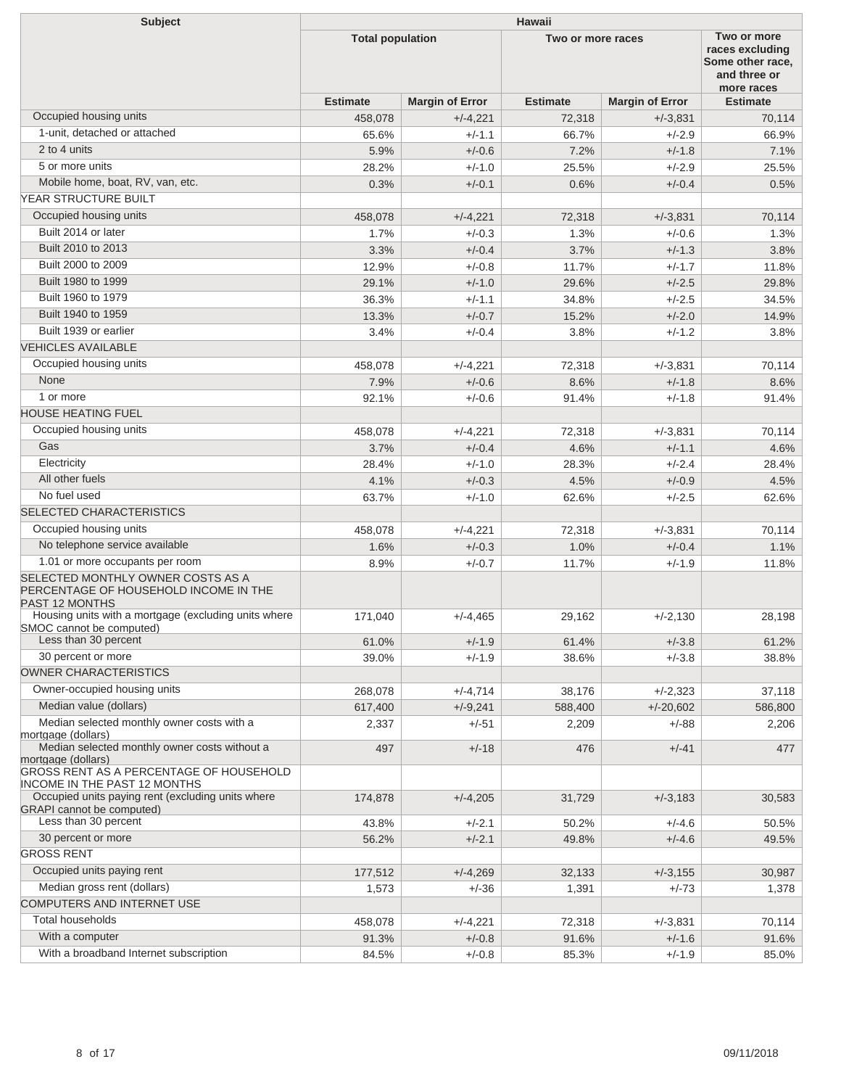| <b>Subject</b>                                                                                       | <b>Hawaii</b>           |                        |                   |                        |                                                                                  |  |
|------------------------------------------------------------------------------------------------------|-------------------------|------------------------|-------------------|------------------------|----------------------------------------------------------------------------------|--|
|                                                                                                      | <b>Total population</b> |                        | Two or more races |                        | Two or more<br>races excluding<br>Some other race.<br>and three or<br>more races |  |
|                                                                                                      | <b>Estimate</b>         | <b>Margin of Error</b> | <b>Estimate</b>   | <b>Margin of Error</b> | <b>Estimate</b>                                                                  |  |
| Occupied housing units                                                                               | 458,078                 | $+/-4,221$             | 72,318            | $+/-3.831$             | 70,114                                                                           |  |
| 1-unit, detached or attached                                                                         | 65.6%                   | $+/-1.1$               | 66.7%             | $+/-2.9$               | 66.9%                                                                            |  |
| 2 to 4 units                                                                                         | 5.9%                    | $+/-0.6$               | 7.2%              | $+/-1.8$               | 7.1%                                                                             |  |
| 5 or more units                                                                                      | 28.2%                   | $+/-1.0$               | 25.5%             | $+/-2.9$               | 25.5%                                                                            |  |
| Mobile home, boat, RV, van, etc.                                                                     | 0.3%                    | $+/-0.1$               | 0.6%              | $+/-0.4$               | 0.5%                                                                             |  |
| YEAR STRUCTURE BUILT                                                                                 |                         |                        |                   |                        |                                                                                  |  |
| Occupied housing units                                                                               | 458,078                 | $+/-4,221$             | 72,318            | $+/-3,831$             | 70,114                                                                           |  |
| Built 2014 or later                                                                                  | 1.7%                    | $+/-0.3$               | 1.3%              | $+/-0.6$               | 1.3%                                                                             |  |
| Built 2010 to 2013                                                                                   | 3.3%                    | $+/-0.4$               | 3.7%              | $+/-1.3$               | 3.8%                                                                             |  |
| Built 2000 to 2009                                                                                   | 12.9%                   | $+/-0.8$               | 11.7%             | $+/-1.7$               | 11.8%                                                                            |  |
| Built 1980 to 1999                                                                                   | 29.1%                   | $+/-1.0$               | 29.6%             | $+/-2.5$               | 29.8%                                                                            |  |
| Built 1960 to 1979                                                                                   | 36.3%                   | $+/-1.1$               | 34.8%             | $+/-2.5$               | 34.5%                                                                            |  |
| Built 1940 to 1959                                                                                   | 13.3%                   | $+/-0.7$               | 15.2%             | $+/-2.0$               | 14.9%                                                                            |  |
| Built 1939 or earlier                                                                                | 3.4%                    | $+/-0.4$               | 3.8%              | $+/-1.2$               | 3.8%                                                                             |  |
| <b>VEHICLES AVAILABLE</b>                                                                            |                         |                        |                   |                        |                                                                                  |  |
| Occupied housing units                                                                               | 458,078                 | $+/-4,221$             | 72.318            | $+/-3.831$             | 70,114                                                                           |  |
| None                                                                                                 | 7.9%                    | $+/-0.6$               | 8.6%              | $+/-1.8$               | 8.6%                                                                             |  |
| 1 or more                                                                                            | 92.1%                   | $+/-0.6$               | 91.4%             | $+/-1.8$               | 91.4%                                                                            |  |
| <b>HOUSE HEATING FUEL</b>                                                                            |                         |                        |                   |                        |                                                                                  |  |
| Occupied housing units                                                                               | 458,078                 | $+/-4,221$             | 72,318            | $+/-3.831$             | 70,114                                                                           |  |
| Gas                                                                                                  | 3.7%                    | $+/-0.4$               | 4.6%              | $+/-1.1$               | 4.6%                                                                             |  |
| Electricity                                                                                          | 28.4%                   | $+/-1.0$               | 28.3%             | $+/-2.4$               | 28.4%                                                                            |  |
| All other fuels                                                                                      | 4.1%                    | $+/-0.3$               | 4.5%              | $+/-0.9$               | 4.5%                                                                             |  |
| No fuel used                                                                                         | 63.7%                   | $+/-1.0$               | 62.6%             | $+/-2.5$               | 62.6%                                                                            |  |
| SELECTED CHARACTERISTICS                                                                             |                         |                        |                   |                        |                                                                                  |  |
| Occupied housing units                                                                               | 458,078                 | $+/-4,221$             | 72,318            | $+/-3.831$             | 70,114                                                                           |  |
| No telephone service available                                                                       | 1.6%                    | $+/-0.3$               | 1.0%              | $+/-0.4$               | 1.1%                                                                             |  |
| 1.01 or more occupants per room                                                                      | 8.9%                    | $+/-0.7$               | 11.7%             | $+/-1.9$               | 11.8%                                                                            |  |
| SELECTED MONTHLY OWNER COSTS AS A<br>PERCENTAGE OF HOUSEHOLD INCOME IN THE<br><b>PAST 12 MONTHS</b>  |                         |                        |                   |                        |                                                                                  |  |
| Housing units with a mortgage (excluding units where<br>SMOC cannot be computed)                     | 171,040                 | $+/-4,465$             | 29,162            | $+/-2,130$             | 28,198                                                                           |  |
| Less than 30 percent                                                                                 | 61.0%                   | $+/-1.9$               | 61.4%             | $+/-3.8$               | 61.2%                                                                            |  |
| 30 percent or more                                                                                   | 39.0%                   | $+/-1.9$               | 38.6%             | $+/-3.8$               | 38.8%                                                                            |  |
| OWNER CHARACTERISTICS                                                                                |                         |                        |                   |                        |                                                                                  |  |
| Owner-occupied housing units                                                                         | 268,078                 | $+/-4,714$             | 38,176            | $+/-2,323$             | 37,118                                                                           |  |
| Median value (dollars)                                                                               | 617,400                 | $+/-9,241$             | 588,400           | $+/-20,602$            | 586,800                                                                          |  |
| Median selected monthly owner costs with a                                                           | 2,337                   | +/-51                  | 2,209             | $+/-88$                | 2,206                                                                            |  |
| mortgage (dollars)<br>Median selected monthly owner costs without a                                  | 497                     | $+/-18$                | 476               | $+/-41$                | 477                                                                              |  |
| mortgage (dollars)<br>GROSS RENT AS A PERCENTAGE OF HOUSEHOLD<br><b>INCOME IN THE PAST 12 MONTHS</b> |                         |                        |                   |                        |                                                                                  |  |
| Occupied units paying rent (excluding units where                                                    | 174,878                 | $+/-4,205$             | 31,729            | $+/-3,183$             | 30,583                                                                           |  |
| <b>GRAPI</b> cannot be computed)                                                                     |                         |                        |                   |                        |                                                                                  |  |
| Less than 30 percent                                                                                 | 43.8%                   | $+/-2.1$               | 50.2%             | $+/-4.6$               | 50.5%                                                                            |  |
| 30 percent or more                                                                                   | 56.2%                   | $+/-2.1$               | 49.8%             | $+/-4.6$               | 49.5%                                                                            |  |
| <b>GROSS RENT</b>                                                                                    |                         |                        |                   |                        |                                                                                  |  |
| Occupied units paying rent                                                                           | 177,512                 | $+/-4,269$             | 32,133            | $+/-3,155$             | 30,987                                                                           |  |
| Median gross rent (dollars)                                                                          | 1,573                   | $+/-36$                | 1,391             | $+/-73$                | 1,378                                                                            |  |
| COMPUTERS AND INTERNET USE                                                                           |                         |                        |                   |                        |                                                                                  |  |
| Total households                                                                                     | 458,078                 | $+/-4,221$             | 72,318            | $+/-3,831$             | 70,114                                                                           |  |
| With a computer                                                                                      | 91.3%                   | $+/-0.8$               | 91.6%             | $+/-1.6$               | 91.6%                                                                            |  |
| With a broadband Internet subscription                                                               | 84.5%                   | $+/-0.8$               | 85.3%             | $+/-1.9$               | 85.0%                                                                            |  |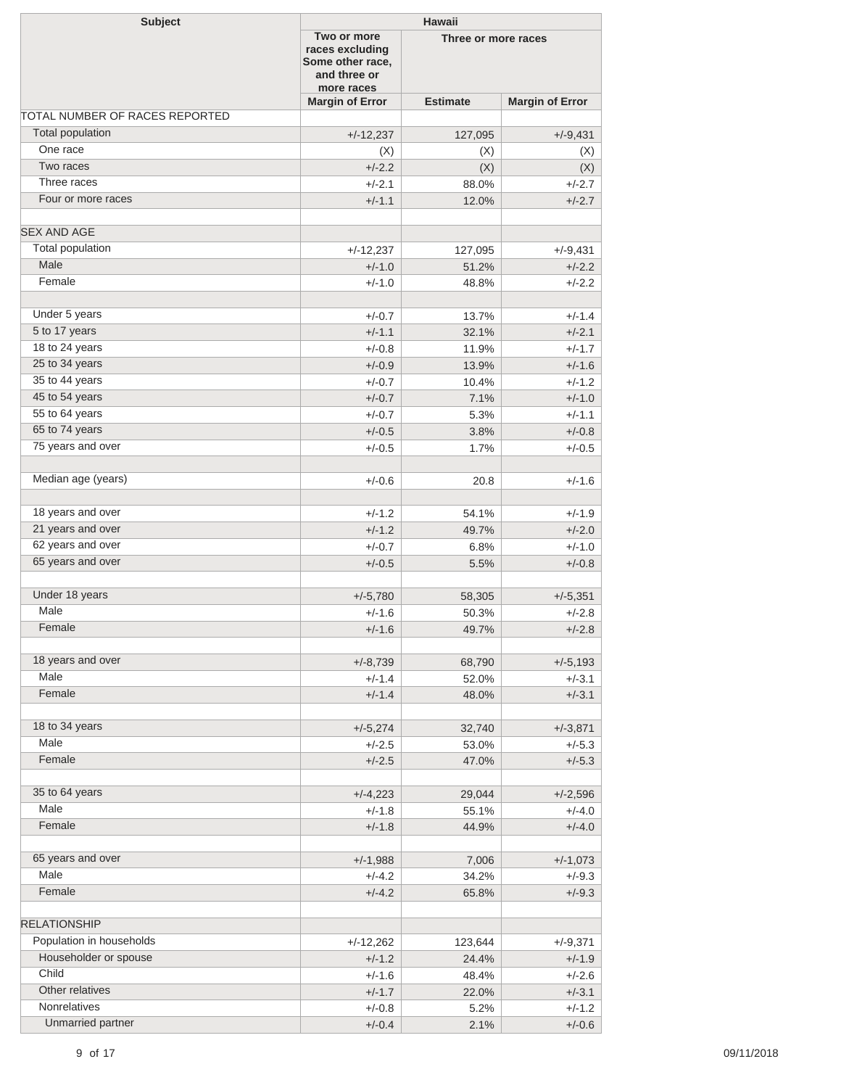| <b>Subject</b>                 |                                                                                  | <b>Hawaii</b>       |                        |  |  |  |
|--------------------------------|----------------------------------------------------------------------------------|---------------------|------------------------|--|--|--|
|                                | Two or more<br>races excluding<br>Some other race,<br>and three or<br>more races | Three or more races |                        |  |  |  |
|                                | <b>Margin of Error</b>                                                           | <b>Estimate</b>     | <b>Margin of Error</b> |  |  |  |
| TOTAL NUMBER OF RACES REPORTED |                                                                                  |                     |                        |  |  |  |
| Total population               | $+/-12,237$                                                                      | 127,095             | $+/-9,431$             |  |  |  |
| One race                       | (X)                                                                              | (X)                 | (X)                    |  |  |  |
| Two races                      | $+/-2.2$                                                                         | (X)                 | (X)                    |  |  |  |
| Three races                    | $+/-2.1$                                                                         | 88.0%               | $+/-2.7$               |  |  |  |
| Four or more races             | $+/-1.1$                                                                         | 12.0%               | $+/-2.7$               |  |  |  |
| <b>SEX AND AGE</b>             |                                                                                  |                     |                        |  |  |  |
| Total population               | $+/-12,237$                                                                      | 127,095             | $+/-9,431$             |  |  |  |
| Male                           | $+/-1.0$                                                                         | 51.2%               | $+/-2.2$               |  |  |  |
| Female                         | $+/-1.0$                                                                         | 48.8%               | $+/-2.2$               |  |  |  |
| Under 5 years                  | $+/-0.7$                                                                         | 13.7%               | $+/-1.4$               |  |  |  |
| 5 to 17 years                  | $+/-1.1$                                                                         | 32.1%               | $+/-2.1$               |  |  |  |
| 18 to 24 years                 | $+/-0.8$                                                                         | 11.9%               | $+/-1.7$               |  |  |  |
| 25 to 34 years                 | $+/-0.9$                                                                         | 13.9%               | $+/-1.6$               |  |  |  |
| 35 to 44 years                 | $+/-0.7$                                                                         | 10.4%               | $+/-1.2$               |  |  |  |
| 45 to 54 years                 | $+/-0.7$                                                                         | 7.1%                | $+/-1.0$               |  |  |  |
| 55 to 64 years                 | $+/-0.7$                                                                         | 5.3%                | $+/-1.1$               |  |  |  |
| 65 to 74 years                 | $+/-0.5$                                                                         | 3.8%                | $+/-0.8$               |  |  |  |
| 75 years and over              |                                                                                  |                     |                        |  |  |  |
|                                | $+/-0.5$                                                                         | 1.7%                | $+/-0.5$               |  |  |  |
| Median age (years)             | $+/-0.6$                                                                         | 20.8                | $+/-1.6$               |  |  |  |
| 18 years and over              | $+/-1.2$                                                                         |                     | $+/-1.9$               |  |  |  |
| 21 years and over              |                                                                                  | 54.1%               |                        |  |  |  |
| 62 years and over              | $+/-1.2$                                                                         | 49.7%               | $+/-2.0$               |  |  |  |
| 65 years and over              | $+/-0.7$                                                                         | 6.8%                | $+/-1.0$               |  |  |  |
|                                | $+/-0.5$                                                                         | 5.5%                | $+/-0.8$               |  |  |  |
| Under 18 years                 | $+/-5,780$                                                                       | 58,305              | $+/-5,351$             |  |  |  |
| Male                           | $+/-1.6$                                                                         | 50.3%               | $+/-2.8$               |  |  |  |
| Female                         | $+/-1.6$                                                                         | 49.7%               | $+/-2.8$               |  |  |  |
| 18 years and over              | $+/-8,739$                                                                       | 68,790              | $+/-5,193$             |  |  |  |
| Male                           | $+/-1.4$                                                                         | 52.0%               | $+/-3.1$               |  |  |  |
| Female                         | $+/-1.4$                                                                         | 48.0%               | $+/-3.1$               |  |  |  |
|                                |                                                                                  |                     |                        |  |  |  |
| 18 to 34 years                 | $+/-5,274$                                                                       | 32,740              | $+/-3,871$             |  |  |  |
| Male                           | $+/-2.5$                                                                         | 53.0%               | $+/-5.3$               |  |  |  |
| Female                         | $+/-2.5$                                                                         | 47.0%               | $+/-5.3$               |  |  |  |
|                                |                                                                                  |                     |                        |  |  |  |
| 35 to 64 years                 | $+/-4,223$                                                                       | 29,044              | $+/-2,596$             |  |  |  |
| Male                           | $+/-1.8$                                                                         | 55.1%               | $+/-4.0$               |  |  |  |
| Female                         | $+/-1.8$                                                                         | 44.9%               | $+/-4.0$               |  |  |  |
| 65 years and over              | $+/-1,988$                                                                       | 7,006               | $+/-1,073$             |  |  |  |
| Male                           | $+/-4.2$                                                                         | 34.2%               | $+/-9.3$               |  |  |  |
| Female                         | $+/-4.2$                                                                         | 65.8%               | $+/-9.3$               |  |  |  |
| <b>RELATIONSHIP</b>            |                                                                                  |                     |                        |  |  |  |
| Population in households       | $+/-12,262$                                                                      | 123,644             | $+/-9,371$             |  |  |  |
| Householder or spouse          | $+/-1.2$                                                                         | 24.4%               | $+/-1.9$               |  |  |  |
| Child                          | $+/-1.6$                                                                         | 48.4%               | $+/-2.6$               |  |  |  |
| Other relatives                | $+/-1.7$                                                                         | 22.0%               | $+/-3.1$               |  |  |  |
| <b>Nonrelatives</b>            | $+/-0.8$                                                                         | 5.2%                | $+/-1.2$               |  |  |  |
| Unmarried partner              | $+/-0.4$                                                                         | 2.1%                | $+/-0.6$               |  |  |  |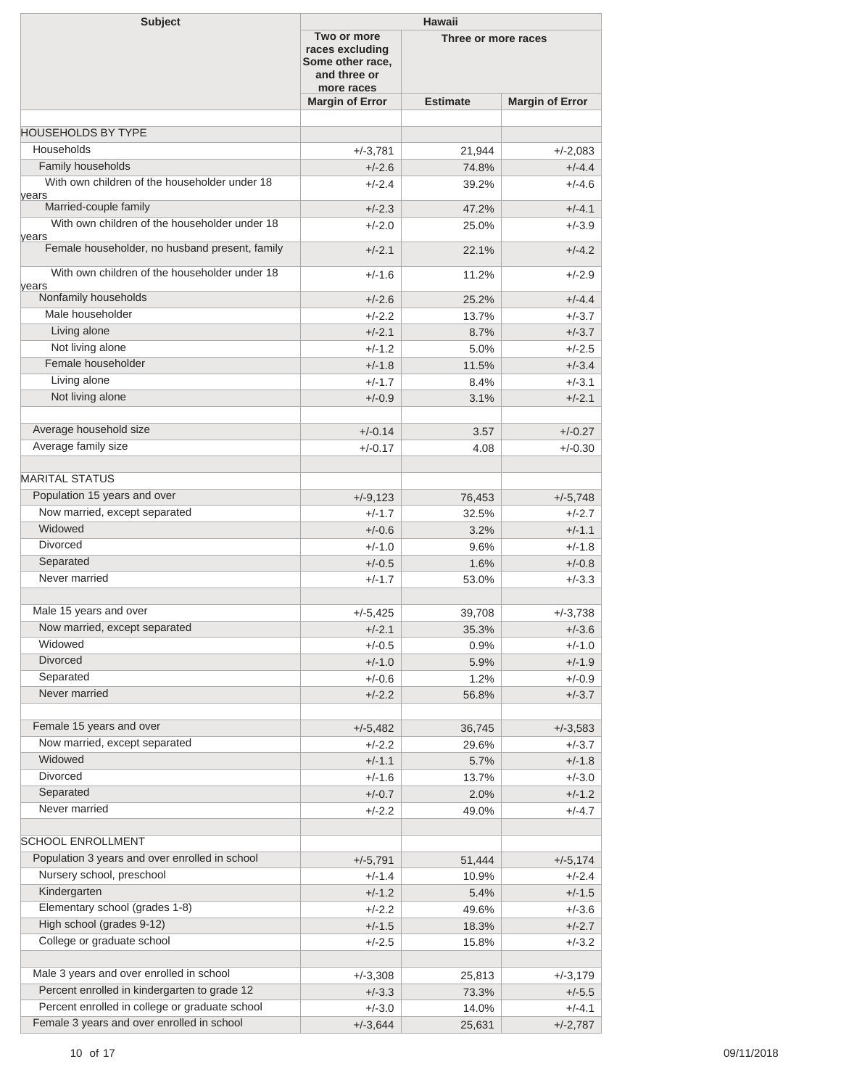| <b>Subject</b>                                         | <b>Hawaii</b>                                                                    |                     |                        |  |  |
|--------------------------------------------------------|----------------------------------------------------------------------------------|---------------------|------------------------|--|--|
|                                                        | Two or more<br>races excluding<br>Some other race,<br>and three or<br>more races | Three or more races |                        |  |  |
|                                                        | <b>Margin of Error</b>                                                           | <b>Estimate</b>     | <b>Margin of Error</b> |  |  |
|                                                        |                                                                                  |                     |                        |  |  |
| <b>HOUSEHOLDS BY TYPE</b>                              |                                                                                  |                     |                        |  |  |
| Households                                             | $+/-3,781$                                                                       | 21,944              | $+/-2,083$             |  |  |
| Family households                                      | $+/-2.6$                                                                         | 74.8%               | $+/-4.4$               |  |  |
| With own children of the householder under 18<br>years | $+/-2.4$                                                                         | 39.2%               | $+/-4.6$               |  |  |
| Married-couple family                                  | $+/-2.3$                                                                         | 47.2%               | $+/-4.1$               |  |  |
| With own children of the householder under 18<br>years | $+/-2.0$                                                                         | 25.0%               | $+/-3.9$               |  |  |
| Female householder, no husband present, family         | $+/-2.1$                                                                         | 22.1%               | $+/-4.2$               |  |  |
| With own children of the householder under 18<br>vears | $+/-1.6$                                                                         | 11.2%               | $+/-2.9$               |  |  |
| Nonfamily households                                   | $+/-2.6$                                                                         | 25.2%               | $+/-4.4$               |  |  |
| Male householder                                       | $+/-2.2$                                                                         | 13.7%               | $+/-3.7$               |  |  |
| Living alone                                           | $+/-2.1$                                                                         | 8.7%                | $+/-3.7$               |  |  |
| Not living alone                                       | $+/-1.2$                                                                         | 5.0%                | $+/-2.5$               |  |  |
| Female householder                                     | $+/-1.8$                                                                         | 11.5%               | $+/-3.4$               |  |  |
| Living alone                                           | $+/-1.7$                                                                         | 8.4%                | $+/-3.1$               |  |  |
| Not living alone                                       | $+/-0.9$                                                                         | 3.1%                | $+/-2.1$               |  |  |
|                                                        |                                                                                  |                     |                        |  |  |
| Average household size                                 | $+/-0.14$                                                                        | 3.57                | $+/-0.27$              |  |  |
| Average family size                                    | $+/-0.17$                                                                        | 4.08                | $+/-0.30$              |  |  |
|                                                        |                                                                                  |                     |                        |  |  |
| <b>MARITAL STATUS</b>                                  |                                                                                  |                     |                        |  |  |
| Population 15 years and over                           | $+/-9,123$                                                                       | 76,453              | $+/-5,748$             |  |  |
| Now married, except separated                          | $+/-1.7$                                                                         | 32.5%               | $+/-2.7$               |  |  |
| Widowed                                                | $+/-0.6$                                                                         | 3.2%                | $+/-1.1$               |  |  |
| <b>Divorced</b>                                        | $+/-1.0$                                                                         | 9.6%                | $+/-1.8$               |  |  |
| Separated                                              | $+/-0.5$                                                                         | 1.6%                | $+/-0.8$               |  |  |
| Never married                                          | $+/-1.7$                                                                         | 53.0%               | $+/-3.3$               |  |  |
|                                                        |                                                                                  |                     |                        |  |  |
| Male 15 years and over                                 | $+/-5,425$                                                                       | 39,708              | +/-3,738               |  |  |
| Now married, except separated                          | $+/-2.1$                                                                         | 35.3%               | $+/-3.6$               |  |  |
| Widowed                                                | $+/-0.5$                                                                         | 0.9%                | $+/-1.0$               |  |  |
| Divorced                                               | $+/-1.0$                                                                         | 5.9%                | $+/-1.9$               |  |  |
| Separated                                              | $+/-0.6$                                                                         | 1.2%                | $+/-0.9$               |  |  |
| Never married                                          | $+/-2.2$                                                                         | 56.8%               | $+/-3.7$               |  |  |
|                                                        |                                                                                  |                     |                        |  |  |
| Female 15 years and over                               | $+/-5,482$                                                                       | 36,745              | $+/-3,583$             |  |  |
| Now married, except separated                          | $+/-2.2$                                                                         | 29.6%               | $+/-3.7$               |  |  |
| Widowed                                                | $+/-1.1$                                                                         | 5.7%                | $+/-1.8$               |  |  |
| Divorced                                               | $+/-1.6$                                                                         | 13.7%               | $+/-3.0$               |  |  |
| Separated                                              | $+/-0.7$                                                                         | 2.0%                | $+/-1.2$               |  |  |
| Never married                                          | $+/-2.2$                                                                         | 49.0%               | $+/-4.7$               |  |  |
|                                                        |                                                                                  |                     |                        |  |  |
| <b>SCHOOL ENROLLMENT</b>                               |                                                                                  |                     |                        |  |  |
| Population 3 years and over enrolled in school         | $+/-5,791$                                                                       | 51,444              | $+/-5,174$             |  |  |
| Nursery school, preschool                              | $+/-1.4$                                                                         | 10.9%               | $+/-2.4$               |  |  |
| Kindergarten                                           | $+/-1.2$                                                                         | 5.4%                | $+/-1.5$               |  |  |
| Elementary school (grades 1-8)                         | $+/-2.2$                                                                         | 49.6%               | $+/-3.6$               |  |  |
| High school (grades 9-12)                              | $+/-1.5$                                                                         | 18.3%               | $+/-2.7$               |  |  |
| College or graduate school                             |                                                                                  | 15.8%               |                        |  |  |
|                                                        | $+/-2.5$                                                                         |                     | $+/-3.2$               |  |  |
| Male 3 years and over enrolled in school               |                                                                                  |                     |                        |  |  |
| Percent enrolled in kindergarten to grade 12           | $+/-3,308$                                                                       | 25,813              | $+/-3,179$             |  |  |
| Percent enrolled in college or graduate school         | $+/-3.3$                                                                         | 73.3%               | $+/-5.5$               |  |  |
| Female 3 years and over enrolled in school             | $+/-3.0$                                                                         | 14.0%               | $+/-4.1$               |  |  |
|                                                        | $+/-3,644$                                                                       | 25,631              | $+/-2,787$             |  |  |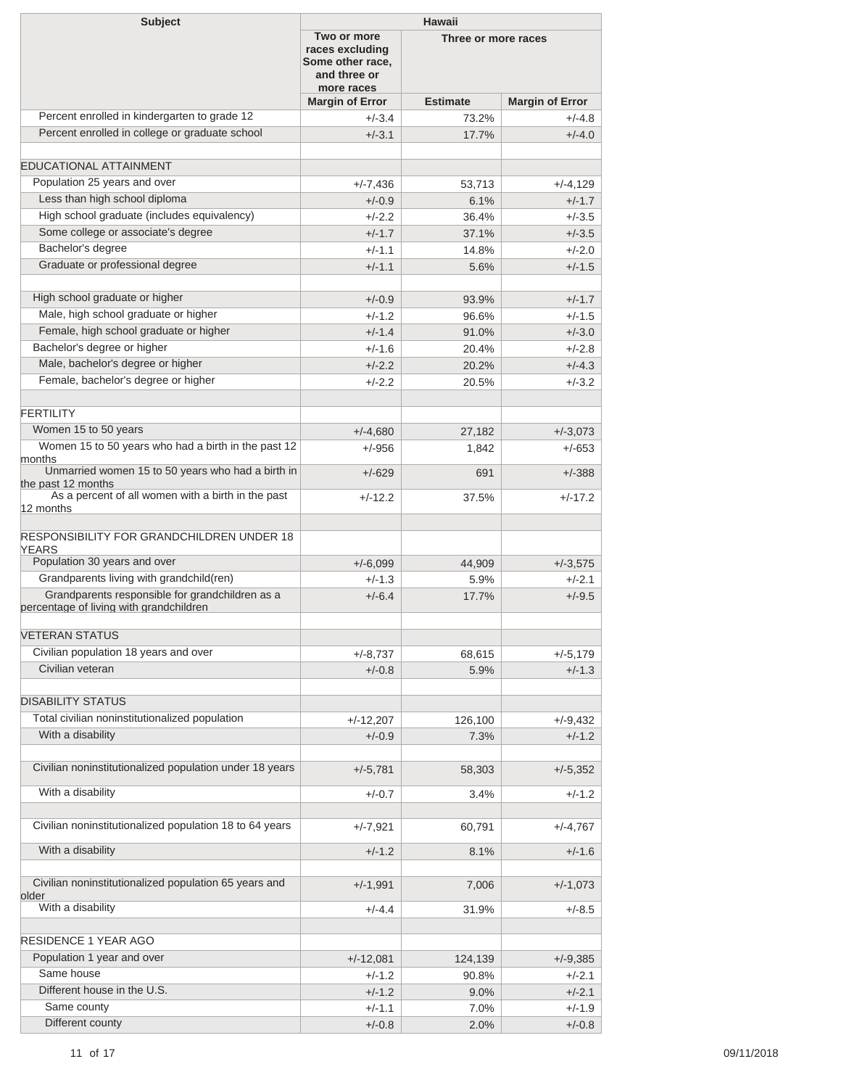| <b>Subject</b>                                                                             | <b>Hawaii</b>                                                                    |                 |                        |  |  |
|--------------------------------------------------------------------------------------------|----------------------------------------------------------------------------------|-----------------|------------------------|--|--|
|                                                                                            | Two or more<br>races excluding<br>Some other race,<br>and three or<br>more races |                 | Three or more races    |  |  |
|                                                                                            | <b>Margin of Error</b>                                                           | <b>Estimate</b> | <b>Margin of Error</b> |  |  |
| Percent enrolled in kindergarten to grade 12                                               | $+/-3.4$                                                                         | 73.2%           | $+/-4.8$               |  |  |
| Percent enrolled in college or graduate school                                             | $+/-3.1$                                                                         | 17.7%           | $+/-4.0$               |  |  |
| EDUCATIONAL ATTAINMENT                                                                     |                                                                                  |                 |                        |  |  |
| Population 25 years and over                                                               | $+/-7,436$                                                                       | 53,713          | $+/-4,129$             |  |  |
| Less than high school diploma                                                              | $+/-0.9$                                                                         | 6.1%            | $+/-1.7$               |  |  |
| High school graduate (includes equivalency)                                                | $+/-2.2$                                                                         | 36.4%           | $+/-3.5$               |  |  |
| Some college or associate's degree                                                         | $+/-1.7$                                                                         | 37.1%           | $+/-3.5$               |  |  |
| Bachelor's degree                                                                          | $+/-1.1$                                                                         | 14.8%           | $+/-2.0$               |  |  |
| Graduate or professional degree                                                            | $+/-1.1$                                                                         | 5.6%            | $+/-1.5$               |  |  |
|                                                                                            |                                                                                  |                 |                        |  |  |
| High school graduate or higher                                                             | $+/-0.9$                                                                         | 93.9%           | $+/-1.7$               |  |  |
| Male, high school graduate or higher                                                       | $+/-1.2$                                                                         | 96.6%           | $+/-1.5$               |  |  |
| Female, high school graduate or higher<br>Bachelor's degree or higher                      | $+/-1.4$                                                                         | 91.0%           | $+/-3.0$               |  |  |
| Male, bachelor's degree or higher                                                          | $+/-1.6$                                                                         | 20.4%           | $+/-2.8$               |  |  |
|                                                                                            | $+/-2.2$                                                                         | 20.2%           | $+/-4.3$               |  |  |
| Female, bachelor's degree or higher                                                        | $+/-2.2$                                                                         | 20.5%           | $+/-3.2$               |  |  |
| <b>FERTILITY</b>                                                                           |                                                                                  |                 |                        |  |  |
| Women 15 to 50 years                                                                       | $+/-4,680$                                                                       | 27,182          | $+/-3,073$             |  |  |
| Women 15 to 50 years who had a birth in the past 12<br>months                              | $+/-956$                                                                         | 1,842           | $+/-653$               |  |  |
| Unmarried women 15 to 50 years who had a birth in<br>the past 12 months                    | $+/-629$                                                                         | 691             | $+/-388$               |  |  |
| As a percent of all women with a birth in the past<br>12 months                            | $+/-12.2$                                                                        | 37.5%           | $+/-17.2$              |  |  |
| <b>RESPONSIBILITY FOR GRANDCHILDREN UNDER 18</b><br><b>YEARS</b>                           |                                                                                  |                 |                        |  |  |
| Population 30 years and over                                                               | $+/-6,099$                                                                       | 44,909          | $+/-3,575$             |  |  |
| Grandparents living with grandchild(ren)                                                   | $+/-1.3$                                                                         | 5.9%            | $+/-2.1$               |  |  |
| Grandparents responsible for grandchildren as a<br>percentage of living with grandchildren | $+/-6.4$                                                                         | 17.7%           | $+/-9.5$               |  |  |
| <b>VETERAN STATUS</b>                                                                      |                                                                                  |                 |                        |  |  |
| Civilian population 18 years and over                                                      | $+/-8,737$                                                                       | 68,615          | $+/-5,179$             |  |  |
| Civilian veteran                                                                           | $+/-0.8$                                                                         | 5.9%            | $+/-1.3$               |  |  |
| <b>DISABILITY STATUS</b>                                                                   |                                                                                  |                 |                        |  |  |
| Total civilian noninstitutionalized population                                             | $+/-12,207$                                                                      |                 | $+/-9,432$             |  |  |
| With a disability                                                                          | $+/-0.9$                                                                         | 126,100<br>7.3% | $+/-1.2$               |  |  |
|                                                                                            |                                                                                  |                 |                        |  |  |
| Civilian noninstitutionalized population under 18 years                                    | $+/-5,781$                                                                       | 58,303          | $+/-5,352$             |  |  |
| With a disability                                                                          | $+/-0.7$                                                                         | 3.4%            | $+/-1.2$               |  |  |
| Civilian noninstitutionalized population 18 to 64 years                                    | $+/-7,921$                                                                       | 60,791          | $+/-4,767$             |  |  |
| With a disability                                                                          | $+/-1.2$                                                                         | 8.1%            | $+/-1.6$               |  |  |
| Civilian noninstitutionalized population 65 years and                                      |                                                                                  |                 |                        |  |  |
| older                                                                                      | $+/-1,991$                                                                       | 7,006           | $+/-1,073$             |  |  |
| With a disability                                                                          | $+/-4.4$                                                                         | 31.9%           | $+/-8.5$               |  |  |
| <b>RESIDENCE 1 YEAR AGO</b>                                                                |                                                                                  |                 |                        |  |  |
| Population 1 year and over                                                                 | $+/-12,081$                                                                      | 124,139         | $+/-9,385$             |  |  |
| Same house                                                                                 | $+/-1.2$                                                                         | 90.8%           | $+/-2.1$               |  |  |
| Different house in the U.S.                                                                | $+/-1.2$                                                                         | 9.0%            | $+/-2.1$               |  |  |
| Same county                                                                                | $+/-1.1$                                                                         | 7.0%            | $+/-1.9$               |  |  |
| Different county                                                                           | $+/-0.8$                                                                         | 2.0%            | $+/-0.8$               |  |  |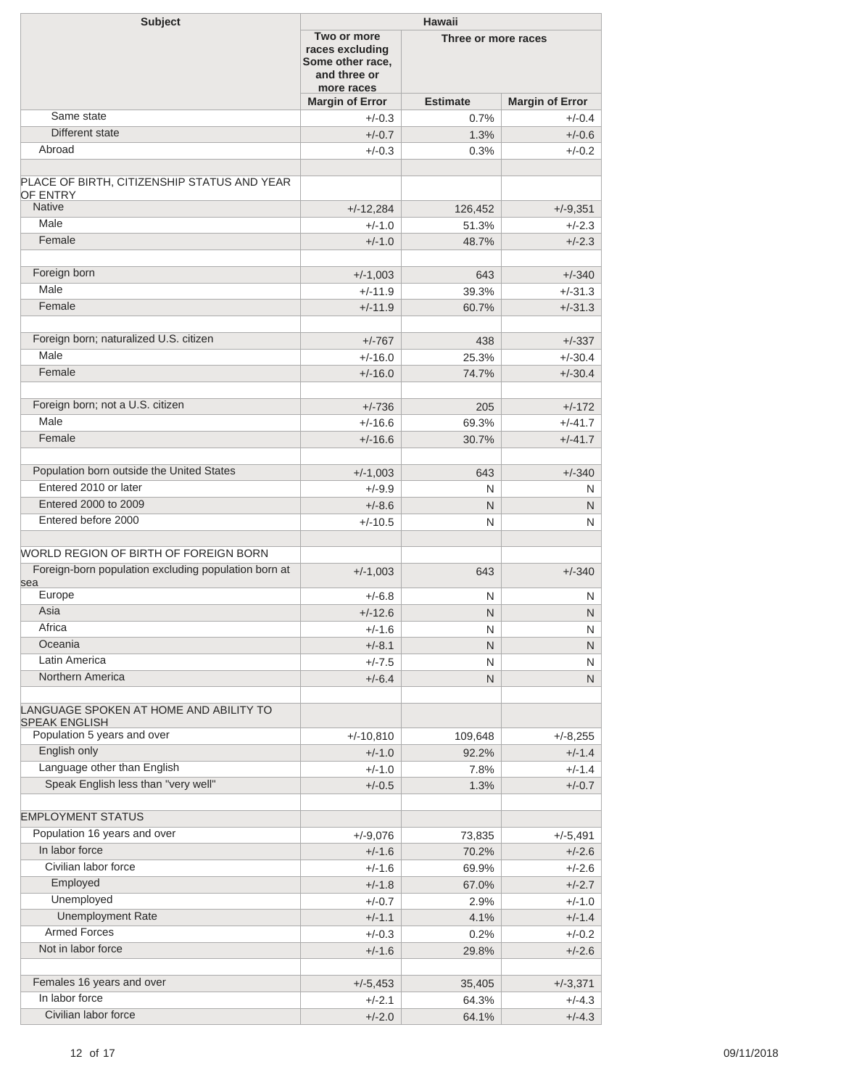| <b>Subject</b>                                                 | <b>Hawaii</b>                                                                    |                     |                        |  |  |
|----------------------------------------------------------------|----------------------------------------------------------------------------------|---------------------|------------------------|--|--|
|                                                                | Two or more<br>races excluding<br>Some other race,<br>and three or<br>more races | Three or more races |                        |  |  |
|                                                                | <b>Margin of Error</b>                                                           | <b>Estimate</b>     | <b>Margin of Error</b> |  |  |
| Same state                                                     | $+/-0.3$                                                                         | 0.7%                | $+/-0.4$               |  |  |
| Different state                                                | $+/-0.7$                                                                         | 1.3%                | $+/-0.6$               |  |  |
| Abroad                                                         | $+/-0.3$                                                                         | 0.3%                | $+/-0.2$               |  |  |
|                                                                |                                                                                  |                     |                        |  |  |
| PLACE OF BIRTH, CITIZENSHIP STATUS AND YEAR<br>OF ENTRY        |                                                                                  |                     |                        |  |  |
| <b>Native</b>                                                  | $+/-12,284$                                                                      | 126,452             | $+/-9,351$             |  |  |
| Male                                                           | $+/-1.0$                                                                         | 51.3%               | $+/-2.3$               |  |  |
| Female                                                         | $+/-1.0$                                                                         | 48.7%               | $+/-2.3$               |  |  |
|                                                                |                                                                                  |                     |                        |  |  |
| Foreign born                                                   | $+/-1,003$                                                                       | 643                 | $+/-340$               |  |  |
| Male                                                           | $+/-11.9$                                                                        | 39.3%               | $+/-31.3$              |  |  |
| Female                                                         | $+/-11.9$                                                                        | 60.7%               | $+/-31.3$              |  |  |
| Foreign born; naturalized U.S. citizen                         |                                                                                  |                     |                        |  |  |
| Male                                                           | $+/-767$                                                                         | 438                 | $+/-337$               |  |  |
| Female                                                         | $+/-16.0$                                                                        | 25.3%               | $+/-30.4$              |  |  |
|                                                                | $+/-16.0$                                                                        | 74.7%               | $+/-30.4$              |  |  |
| Foreign born; not a U.S. citizen                               |                                                                                  |                     |                        |  |  |
| Male                                                           | $+/-736$                                                                         | 205                 | $+/-172$               |  |  |
| Female                                                         | $+/-16.6$                                                                        | 69.3%               | $+/-41.7$              |  |  |
|                                                                | $+/-16.6$                                                                        | 30.7%               | $+/-41.7$              |  |  |
| Population born outside the United States                      | $+/-1,003$                                                                       | 643                 | $+/-340$               |  |  |
| Entered 2010 or later                                          | $+/-9.9$                                                                         | N                   | N                      |  |  |
| Entered 2000 to 2009                                           | $+/-8.6$                                                                         | N                   | N                      |  |  |
| Entered before 2000                                            | $+/-10.5$                                                                        | N                   | N                      |  |  |
|                                                                |                                                                                  |                     |                        |  |  |
| WORLD REGION OF BIRTH OF FOREIGN BORN                          |                                                                                  |                     |                        |  |  |
| Foreign-born population excluding population born at           | $+/-1,003$                                                                       | 643                 | $+/-340$               |  |  |
| sea                                                            |                                                                                  |                     |                        |  |  |
| Europe                                                         | $+/-6.8$                                                                         | N                   | N                      |  |  |
| Asia                                                           | $+/-12.6$                                                                        | N                   | N                      |  |  |
| Africa                                                         | $+/-1.6$                                                                         | ${\sf N}$           | ${\sf N}$              |  |  |
| Oceania                                                        | $+/-8.1$                                                                         | N                   | N                      |  |  |
| Latin America                                                  | $+/-7.5$                                                                         | N                   | N                      |  |  |
| Northern America                                               | $+/-6.4$                                                                         | N                   | N.                     |  |  |
| LANGUAGE SPOKEN AT HOME AND ABILITY TO<br><b>SPEAK ENGLISH</b> |                                                                                  |                     |                        |  |  |
| Population 5 years and over                                    | $+/-10,810$                                                                      | 109,648             | $+/-8,255$             |  |  |
| English only                                                   | $+/-1.0$                                                                         | 92.2%               | $+/-1.4$               |  |  |
| Language other than English                                    | $+/-1.0$                                                                         | 7.8%                | $+/-1.4$               |  |  |
| Speak English less than "very well"                            | $+/-0.5$                                                                         | 1.3%                | $+/-0.7$               |  |  |
|                                                                |                                                                                  |                     |                        |  |  |
| <b>EMPLOYMENT STATUS</b>                                       |                                                                                  |                     |                        |  |  |
| Population 16 years and over                                   | $+/-9,076$                                                                       | 73,835              | $+/-5,491$             |  |  |
| In labor force                                                 | $+/-1.6$                                                                         | 70.2%               | $+/-2.6$               |  |  |
| Civilian labor force                                           | $+/-1.6$                                                                         | 69.9%               | $+/-2.6$               |  |  |
| Employed                                                       | $+/-1.8$                                                                         | 67.0%               | $+/-2.7$               |  |  |
| Unemployed                                                     | $+/-0.7$                                                                         | 2.9%                | $+/-1.0$               |  |  |
| <b>Unemployment Rate</b>                                       | $+/-1.1$                                                                         | 4.1%                | $+/-1.4$               |  |  |
| <b>Armed Forces</b>                                            | $+/-0.3$                                                                         | 0.2%                | $+/-0.2$               |  |  |
| Not in labor force                                             | $+/-1.6$                                                                         | 29.8%               | $+/-2.6$               |  |  |
|                                                                |                                                                                  |                     |                        |  |  |
| Females 16 years and over                                      | $+/-5,453$                                                                       | 35,405              | $+/-3,371$             |  |  |
| In labor force                                                 | $+/-2.1$                                                                         | 64.3%               | $+/-4.3$               |  |  |
| Civilian labor force                                           | $+/-2.0$                                                                         | 64.1%               | $+/-4.3$               |  |  |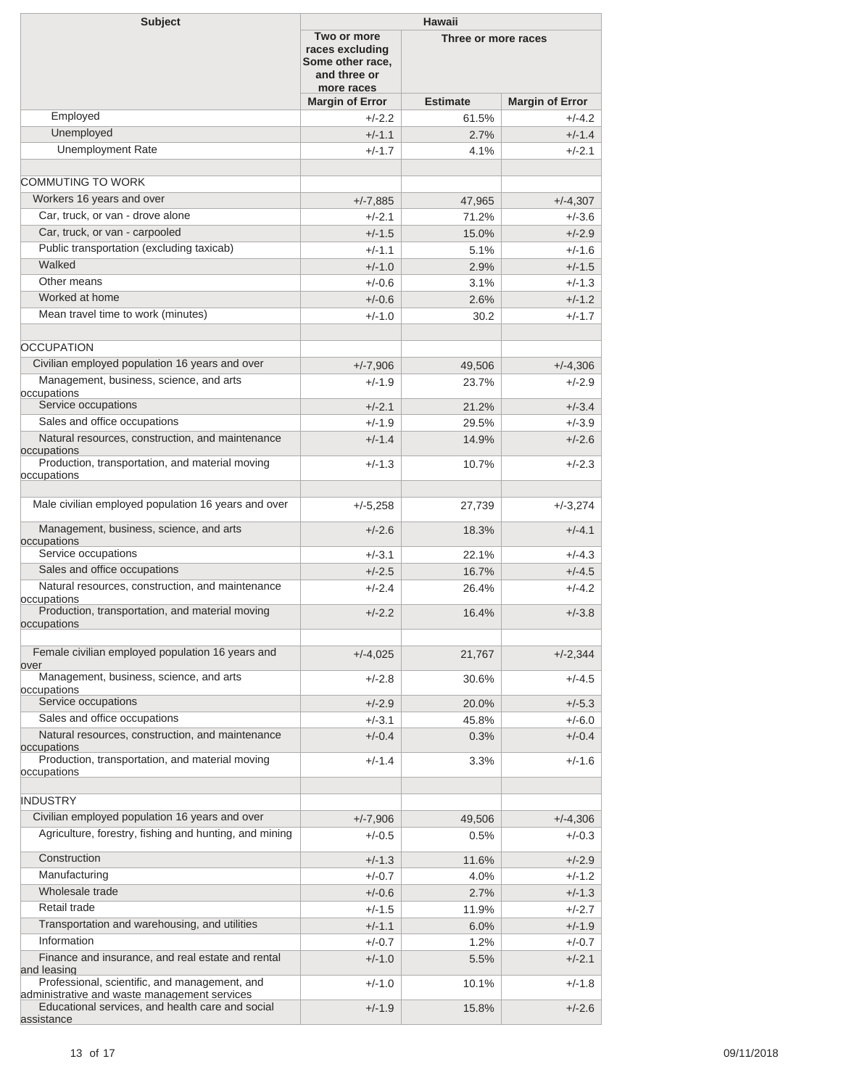| <b>Subject</b>                                                                                   | Hawaii                                                                           |                     |                        |
|--------------------------------------------------------------------------------------------------|----------------------------------------------------------------------------------|---------------------|------------------------|
|                                                                                                  | Two or more<br>races excluding<br>Some other race,<br>and three or<br>more races | Three or more races |                        |
|                                                                                                  | <b>Margin of Error</b>                                                           | <b>Estimate</b>     | <b>Margin of Error</b> |
| Employed                                                                                         | $+/-2.2$                                                                         | 61.5%               | $+/-4.2$               |
| Unemployed                                                                                       | $+/-1.1$                                                                         | 2.7%                | $+/-1.4$               |
| <b>Unemployment Rate</b>                                                                         | $+/-1.7$                                                                         | 4.1%                | $+/-2.1$               |
|                                                                                                  |                                                                                  |                     |                        |
| COMMUTING TO WORK                                                                                |                                                                                  |                     |                        |
| Workers 16 years and over                                                                        | $+/-7,885$                                                                       | 47,965              | $+/-4,307$             |
| Car, truck, or van - drove alone                                                                 | $+/-2.1$                                                                         | 71.2%               | $+/-3.6$               |
| Car, truck, or van - carpooled                                                                   | $+/-1.5$                                                                         | 15.0%               | $+/-2.9$               |
| Public transportation (excluding taxicab)                                                        | $+/-1.1$                                                                         | 5.1%                | $+/-1.6$               |
| Walked                                                                                           | $+/-1.0$                                                                         | 2.9%                | $+/-1.5$               |
| Other means                                                                                      | $+/-0.6$                                                                         | 3.1%                | $+/-1.3$               |
| Worked at home                                                                                   | $+/-0.6$                                                                         | 2.6%                | $+/-1.2$               |
| Mean travel time to work (minutes)                                                               | $+/-1.0$                                                                         |                     |                        |
|                                                                                                  |                                                                                  | 30.2                | $+/-1.7$               |
|                                                                                                  |                                                                                  |                     |                        |
| <b>OCCUPATION</b>                                                                                |                                                                                  |                     |                        |
| Civilian employed population 16 years and over                                                   | $+/-7,906$                                                                       | 49,506              | $+/-4,306$             |
| Management, business, science, and arts<br>occupations                                           | $+/-1.9$                                                                         | 23.7%               | $+/-2.9$               |
| Service occupations                                                                              | $+/-2.1$                                                                         | 21.2%               | $+/-3.4$               |
| Sales and office occupations                                                                     | $+/-1.9$                                                                         | 29.5%               | $+/-3.9$               |
| Natural resources, construction, and maintenance                                                 | $+/-1.4$                                                                         | 14.9%               | $+/-2.6$               |
| occupations                                                                                      |                                                                                  |                     |                        |
| Production, transportation, and material moving<br>occupations                                   | $+/-1.3$                                                                         | 10.7%               | $+/-2.3$               |
| Male civilian employed population 16 years and over                                              | $+/-5,258$                                                                       | 27,739              | $+/-3,274$             |
| Management, business, science, and arts<br>occupations                                           | $+/-2.6$                                                                         | 18.3%               | $+/-4.1$               |
| Service occupations                                                                              | $+/-3.1$                                                                         | 22.1%               | $+/-4.3$               |
| Sales and office occupations                                                                     | $+/-2.5$                                                                         | 16.7%               | $+/-4.5$               |
| Natural resources, construction, and maintenance                                                 | $+/-2.4$                                                                         | 26.4%               | $+/-4.2$               |
| occupations<br>Production, transportation, and material moving<br>occupations                    | $+/-2.2$                                                                         | 16.4%               | $+/-3.8$               |
|                                                                                                  |                                                                                  |                     |                        |
| Female civilian employed population 16 years and<br>over                                         | $+/-4,025$                                                                       | 21,767              | $+/-2,344$             |
| Management, business, science, and arts                                                          | $+/-2.8$                                                                         | 30.6%               | $+/-4.5$               |
| occupations                                                                                      |                                                                                  |                     |                        |
| Service occupations                                                                              | $+/-2.9$                                                                         | 20.0%               | $+/-5.3$               |
| Sales and office occupations                                                                     | $+/-3.1$                                                                         | 45.8%               | $+/-6.0$               |
| Natural resources, construction, and maintenance<br>occupations                                  | $+/-0.4$                                                                         | 0.3%                | $+/-0.4$               |
| Production, transportation, and material moving<br>occupations                                   | $+/-1.4$                                                                         | $3.3\%$             | $+/-1.6$               |
| <b>INDUSTRY</b>                                                                                  |                                                                                  |                     |                        |
| Civilian employed population 16 years and over                                                   | $+/-7,906$                                                                       | 49,506              | $+/-4,306$             |
| Agriculture, forestry, fishing and hunting, and mining                                           | $+/-0.5$                                                                         | $0.5\%$             | $+/-0.3$               |
| Construction                                                                                     | $+/-1.3$                                                                         | 11.6%               | $+/-2.9$               |
| Manufacturing                                                                                    | $+/-0.7$                                                                         | 4.0%                | $+/-1.2$               |
| Wholesale trade                                                                                  | $+/-0.6$                                                                         | 2.7%                | $+/-1.3$               |
| Retail trade                                                                                     | $+/-1.5$                                                                         | 11.9%               | $+/-2.7$               |
| Transportation and warehousing, and utilities                                                    | $+/-1.1$                                                                         |                     | $+/-1.9$               |
| Information                                                                                      |                                                                                  | 6.0%                |                        |
| Finance and insurance, and real estate and rental                                                | $+/-0.7$                                                                         | 1.2%                | $+/-0.7$               |
| and leasing<br>Professional, scientific, and management, and                                     | $+/-1.0$<br>$+/-1.0$                                                             | 5.5%<br>10.1%       | $+/-2.1$<br>$+/-1.8$   |
| administrative and waste management services<br>Educational services, and health care and social | $+/-1.9$                                                                         | 15.8%               | $+/-2.6$               |
| assistance                                                                                       |                                                                                  |                     |                        |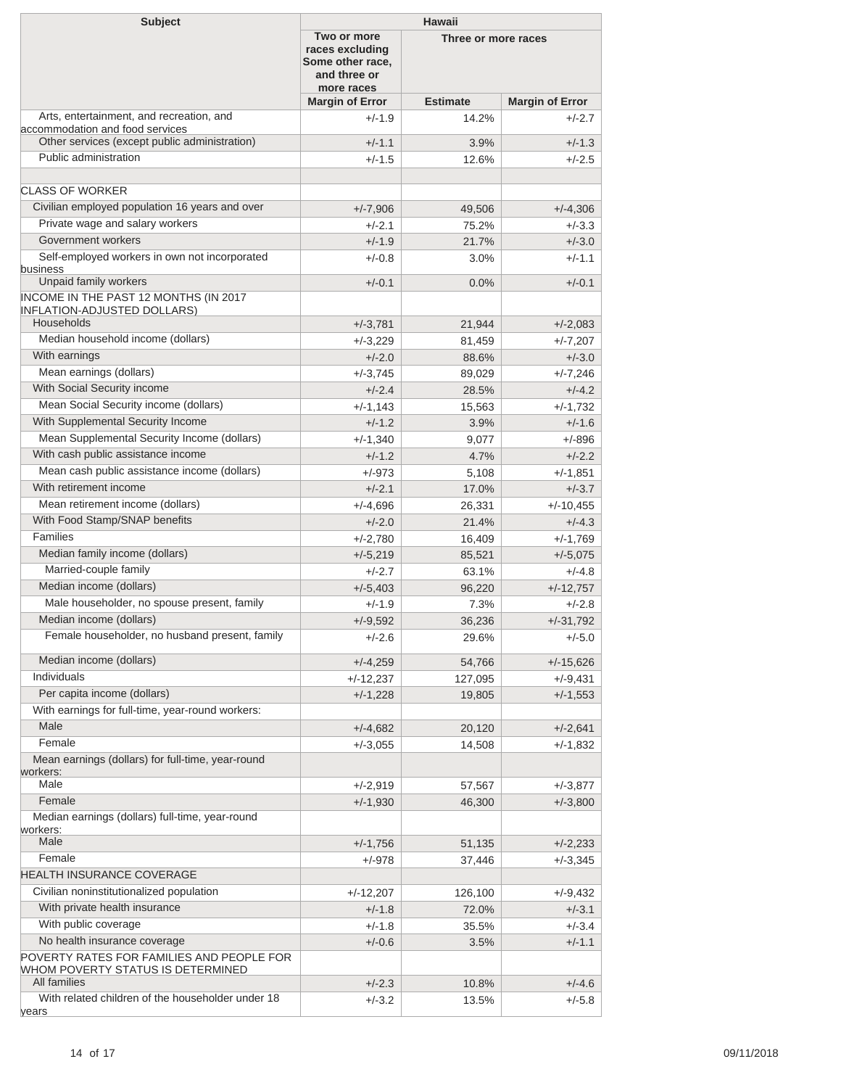| <b>Subject</b>                                                              | <b>Hawaii</b>                                                                    |                     |                         |
|-----------------------------------------------------------------------------|----------------------------------------------------------------------------------|---------------------|-------------------------|
|                                                                             | Two or more<br>races excluding<br>Some other race,<br>and three or<br>more races | Three or more races |                         |
|                                                                             | <b>Margin of Error</b>                                                           | <b>Estimate</b>     | <b>Margin of Error</b>  |
| Arts, entertainment, and recreation, and<br>accommodation and food services | $+/-1.9$                                                                         | 14.2%               | $+/-2.7$                |
| Other services (except public administration)                               | $+/-1.1$                                                                         | 3.9%                | $+/-1.3$                |
| Public administration                                                       | $+/-1.5$                                                                         | 12.6%               | $+/-2.5$                |
| <b>CLASS OF WORKER</b>                                                      |                                                                                  |                     |                         |
| Civilian employed population 16 years and over                              |                                                                                  |                     |                         |
| Private wage and salary workers                                             | $+/-7,906$                                                                       | 49,506<br>75.2%     | $+/-4,306$<br>$+/-3.3$  |
| Government workers                                                          | $+/-2.1$<br>$+/-1.9$                                                             | 21.7%               | $+/-3.0$                |
| Self-employed workers in own not incorporated                               | $+/-0.8$                                                                         | $3.0\%$             | $+/-1.1$                |
| business<br>Unpaid family workers                                           | $+/-0.1$                                                                         | 0.0%                | $+/-0.1$                |
| INCOME IN THE PAST 12 MONTHS (IN 2017                                       |                                                                                  |                     |                         |
| <b>INFLATION-ADJUSTED DOLLARS)</b>                                          |                                                                                  |                     |                         |
| Households                                                                  | $+/-3,781$                                                                       | 21,944              | $+/-2,083$              |
| Median household income (dollars)                                           | $+/-3,229$                                                                       | 81,459              | $+/-7,207$              |
| With earnings                                                               | $+/-2.0$                                                                         | 88.6%               | $+/-3.0$                |
| Mean earnings (dollars)                                                     | $+/-3,745$                                                                       | 89,029              | $+/-7,246$              |
| With Social Security income                                                 | $+/-2.4$                                                                         | 28.5%               | $+/-4.2$                |
| Mean Social Security income (dollars)                                       | $+/-1,143$                                                                       | 15,563              | $+/-1,732$              |
| With Supplemental Security Income                                           | $+/-1.2$                                                                         | 3.9%                | $+/-1.6$                |
| Mean Supplemental Security Income (dollars)                                 | $+/-1,340$                                                                       | 9,077               | +/-896                  |
| With cash public assistance income                                          | $+/-1.2$                                                                         | 4.7%                | $+/-2.2$                |
| Mean cash public assistance income (dollars)<br>With retirement income      | $+/-973$                                                                         | 5,108               | $+/-1,851$              |
| Mean retirement income (dollars)                                            | $+/-2.1$                                                                         | 17.0%               | $+/-3.7$                |
| With Food Stamp/SNAP benefits                                               | $+/-4,696$                                                                       | 26,331              | $+/-10,455$             |
| Families                                                                    | $+/-2.0$                                                                         | 21.4%               | $+/-4.3$                |
| Median family income (dollars)                                              | $+/-2,780$                                                                       | 16,409              | $+/-1,769$              |
| Married-couple family                                                       | $+/-5,219$<br>$+/-2.7$                                                           | 85,521<br>63.1%     | $+/-5,075$              |
| Median income (dollars)                                                     |                                                                                  |                     | $+/-4.8$                |
| Male householder, no spouse present, family                                 | $+/-5,403$<br>$+/-1.9$                                                           | 96,220<br>7.3%      | $+/-12,757$<br>$+/-2.8$ |
| Median income (dollars)                                                     | $+/-9,592$                                                                       | 36,236              | $+/-31,792$             |
| Female householder, no husband present, family                              | $+/-2.6$                                                                         | 29.6%               | $+/-5.0$                |
|                                                                             |                                                                                  |                     |                         |
| Median income (dollars)                                                     | $+/-4,259$                                                                       | 54,766              | $+/-15,626$             |
| Individuals                                                                 | $+/-12,237$                                                                      | 127,095             | +/-9,431                |
| Per capita income (dollars)                                                 | $+/-1,228$                                                                       | 19,805              | $+/-1,553$              |
| With earnings for full-time, year-round workers:                            |                                                                                  |                     |                         |
| Male                                                                        | $+/-4,682$                                                                       | 20,120              | $+/-2,641$              |
| Female                                                                      | $+/-3,055$                                                                       | 14,508              | +/-1,832                |
| Mean earnings (dollars) for full-time, year-round<br>workers:               |                                                                                  |                     |                         |
| Male                                                                        | $+/-2,919$                                                                       | 57,567              | $+/-3,877$              |
| Female                                                                      | $+/-1,930$                                                                       | 46,300              | $+/-3,800$              |
| Median earnings (dollars) full-time, year-round                             |                                                                                  |                     |                         |
| workers:<br>Male                                                            |                                                                                  |                     |                         |
|                                                                             | $+/-1,756$                                                                       | 51,135              | $+/-2,233$              |
| Female<br>HEALTH INSURANCE COVERAGE                                         | +/-978                                                                           | 37,446              | $+/-3,345$              |
| Civilian noninstitutionalized population                                    |                                                                                  |                     |                         |
| With private health insurance                                               | $+/-12,207$                                                                      | 126,100<br>72.0%    | +/-9,432<br>$+/-3.1$    |
| With public coverage                                                        | $+/-1.8$                                                                         | 35.5%               | $+/-3.4$                |
| No health insurance coverage                                                | $+/-1.8$                                                                         |                     |                         |
| POVERTY RATES FOR FAMILIES AND PEOPLE FOR                                   | $+/-0.6$                                                                         | 3.5%                | $+/-1.1$                |
| WHOM POVERTY STATUS IS DETERMINED<br>All families                           | $+/-2.3$                                                                         | 10.8%               | $+/-4.6$                |
| With related children of the householder under 18                           | $+/-3.2$                                                                         | 13.5%               | $+/-5.8$                |
| years                                                                       |                                                                                  |                     |                         |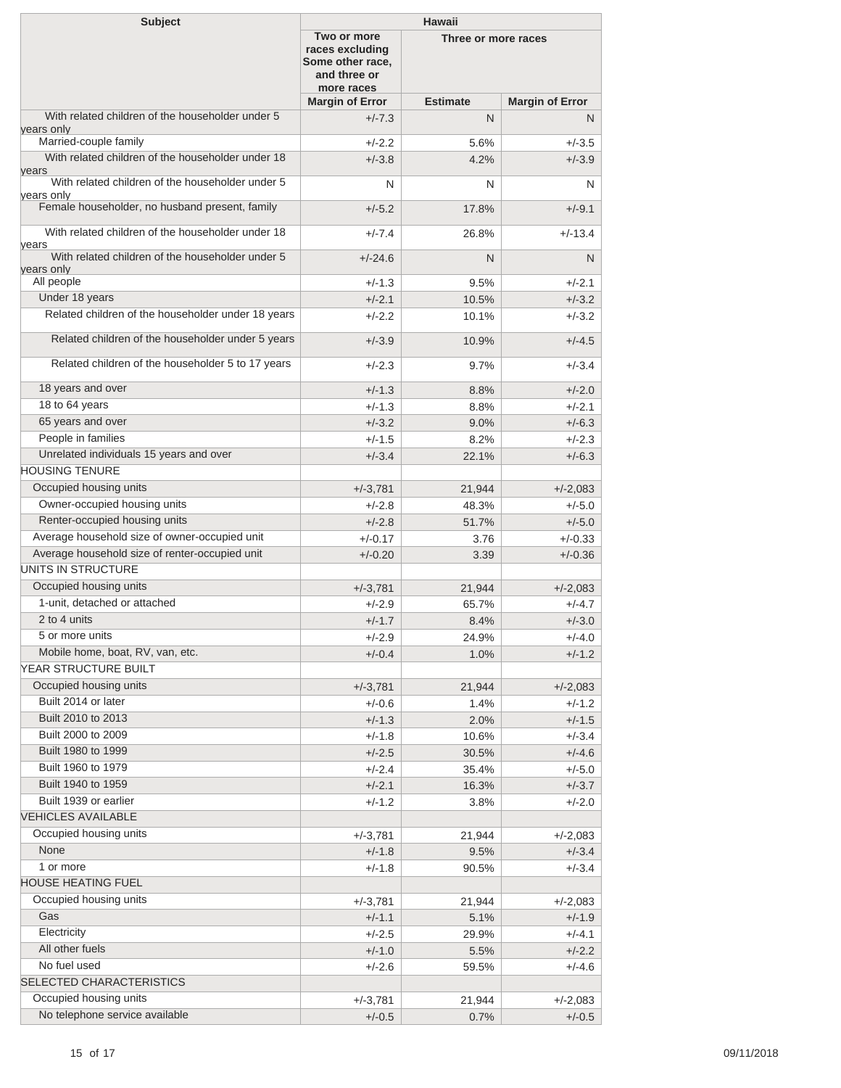| <b>Subject</b>                                                   | <b>Hawaii</b>                                                                    |                     |                        |
|------------------------------------------------------------------|----------------------------------------------------------------------------------|---------------------|------------------------|
|                                                                  | Two or more<br>races excluding<br>Some other race,<br>and three or<br>more races | Three or more races |                        |
|                                                                  | <b>Margin of Error</b>                                                           | <b>Estimate</b>     | <b>Margin of Error</b> |
| With related children of the householder under 5<br>years only   | $+/-7.3$                                                                         | N                   | N                      |
| Married-couple family                                            | $+/-2.2$                                                                         | 5.6%                | $+/-3.5$               |
| With related children of the householder under 18                | $+/-3.8$                                                                         | 4.2%                | $+/-3.9$               |
| vears<br>With related children of the householder under 5        | N                                                                                | N                   | N                      |
| vears only<br>Female householder, no husband present, family     | $+/-5.2$                                                                         | 17.8%               | $+/-9.1$               |
| With related children of the householder under 18<br>years       | $+/-7.4$                                                                         | 26.8%               | $+/-13.4$              |
| With related children of the householder under 5                 | $+/-24.6$                                                                        | N                   | N                      |
| years only<br>All people                                         | $+/-1.3$                                                                         | 9.5%                | $+/-2.1$               |
| Under 18 years                                                   | $+/-2.1$                                                                         | 10.5%               | $+/-3.2$               |
| Related children of the householder under 18 years               | $+/-2.2$                                                                         | 10.1%               | $+/-3.2$               |
|                                                                  |                                                                                  |                     |                        |
| Related children of the householder under 5 years                | $+/-3.9$                                                                         | 10.9%               | $+/-4.5$               |
| Related children of the householder 5 to 17 years                | $+/-2.3$                                                                         | 9.7%                | $+/-3.4$               |
| 18 years and over                                                | $+/-1.3$                                                                         | 8.8%                | $+/-2.0$               |
| 18 to 64 years                                                   | $+/-1.3$                                                                         | 8.8%                | $+/-2.1$               |
| 65 years and over                                                | $+/-3.2$                                                                         | 9.0%                | $+/-6.3$               |
| People in families                                               | $+/-1.5$                                                                         | 8.2%                | $+/-2.3$               |
| Unrelated individuals 15 years and over<br><b>HOUSING TENURE</b> | $+/-3.4$                                                                         | 22.1%               | $+/-6.3$               |
| Occupied housing units                                           | $+/-3,781$                                                                       | 21,944              | $+/-2,083$             |
| Owner-occupied housing units                                     | $+/-2.8$                                                                         | 48.3%               | $+/-5.0$               |
| Renter-occupied housing units                                    | $+/-2.8$                                                                         | 51.7%               | $+/-5.0$               |
| Average household size of owner-occupied unit                    | $+/-0.17$                                                                        | 3.76                | $+/-0.33$              |
| Average household size of renter-occupied unit                   | $+/-0.20$                                                                        | 3.39                | $+/-0.36$              |
| <b>UNITS IN STRUCTURE</b>                                        |                                                                                  |                     |                        |
| Occupied housing units                                           | $+/-3,781$                                                                       | 21,944              | $+/-2,083$             |
| 1-unit, detached or attached                                     | $+/-2.9$                                                                         | 65.7%               | $+/-4.7$               |
| 2 to 4 units                                                     | $+/-1.7$                                                                         | 8.4%                | $+/-3.0$               |
| 5 or more units                                                  | $+/-2.9$                                                                         | 24.9%               | $+/-4.0$               |
| Mobile home, boat, RV, van, etc.                                 | $+/-0.4$                                                                         | 1.0%                | $+/-1.2$               |
| YEAR STRUCTURE BUILT                                             |                                                                                  |                     |                        |
| Occupied housing units                                           | $+/-3,781$                                                                       | 21,944              | $+/-2,083$             |
| Built 2014 or later                                              | $+/-0.6$                                                                         | 1.4%                | $+/-1.2$               |
| Built 2010 to 2013                                               | $+/-1.3$                                                                         | 2.0%                | $+/-1.5$               |
| Built 2000 to 2009                                               | $+/-1.8$                                                                         | 10.6%               | $+/-3.4$               |
| Built 1980 to 1999                                               | $+/-2.5$                                                                         | 30.5%               | $+/-4.6$               |
| Built 1960 to 1979                                               | $+/-2.4$                                                                         | 35.4%               | $+/-5.0$               |
| Built 1940 to 1959                                               | $+/-2.1$                                                                         | 16.3%               | $+/-3.7$               |
| Built 1939 or earlier                                            | $+/-1.2$                                                                         | 3.8%                | $+/-2.0$               |
| <b>VEHICLES AVAILABLE</b>                                        |                                                                                  |                     |                        |
| Occupied housing units                                           | $+/-3,781$                                                                       | 21,944              | $+/-2,083$             |
| None<br>1 or more                                                | $+/-1.8$                                                                         | 9.5%                | $+/-3.4$               |
| <b>HOUSE HEATING FUEL</b>                                        | $+/-1.8$                                                                         | 90.5%               | $+/-3.4$               |
| Occupied housing units                                           |                                                                                  |                     |                        |
| Gas                                                              | $+/-3,781$                                                                       | 21,944              | $+/-2,083$             |
| Electricity                                                      | $+/-1.1$                                                                         | 5.1%                | $+/-1.9$               |
| All other fuels                                                  | $+/-2.5$                                                                         | 29.9%               | $+/-4.1$               |
| No fuel used                                                     | $+/-1.0$<br>$+/-2.6$                                                             | 5.5%<br>59.5%       | $+/-2.2$<br>$+/-4.6$   |
| SELECTED CHARACTERISTICS                                         |                                                                                  |                     |                        |
| Occupied housing units                                           | $+/-3,781$                                                                       | 21,944              | $+/-2,083$             |
| No telephone service available                                   | $+/-0.5$                                                                         | 0.7%                | $+/-0.5$               |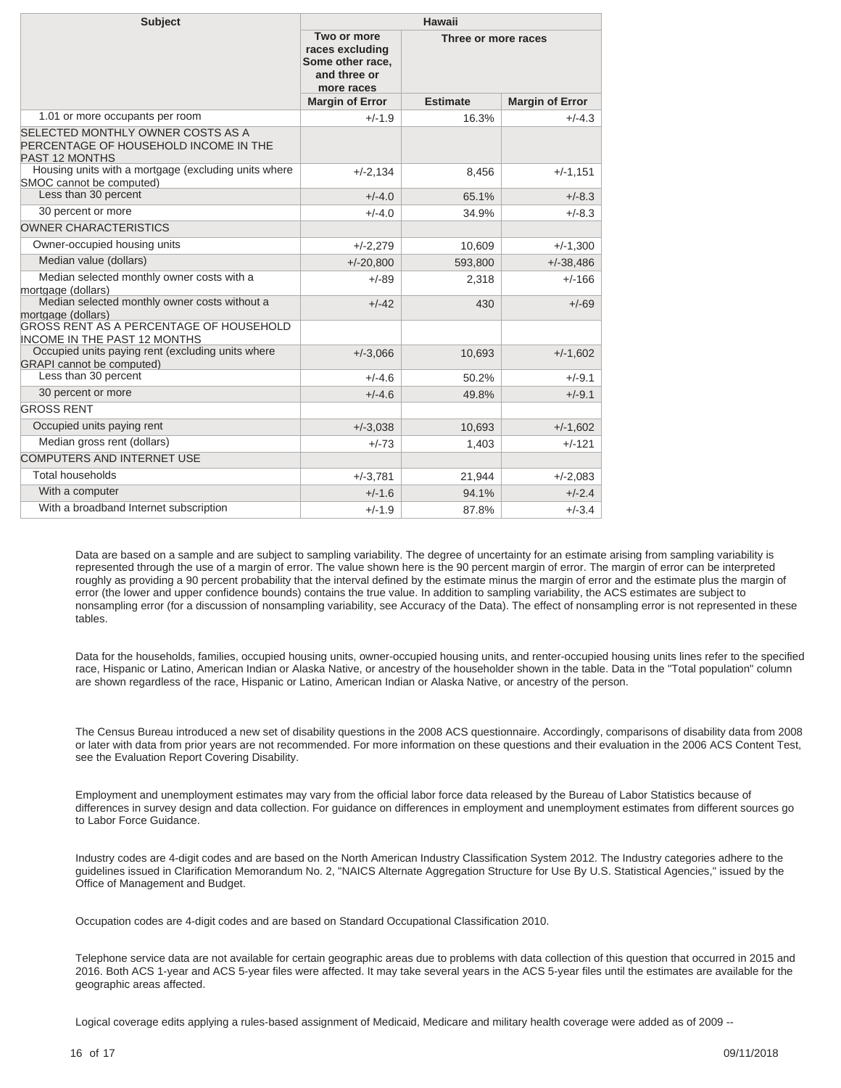| <b>Subject</b>                                                                                      | Hawaii                                                                           |                 |                        |  |
|-----------------------------------------------------------------------------------------------------|----------------------------------------------------------------------------------|-----------------|------------------------|--|
|                                                                                                     | Two or more<br>races excluding<br>Some other race,<br>and three or<br>more races |                 | Three or more races    |  |
|                                                                                                     | <b>Margin of Error</b>                                                           | <b>Estimate</b> | <b>Margin of Error</b> |  |
| 1.01 or more occupants per room                                                                     | $+/-1.9$                                                                         | 16.3%           | $+/-4.3$               |  |
| SELECTED MONTHLY OWNER COSTS AS A<br>PERCENTAGE OF HOUSEHOLD INCOME IN THE<br><b>PAST 12 MONTHS</b> |                                                                                  |                 |                        |  |
| Housing units with a mortgage (excluding units where<br>SMOC cannot be computed)                    | $+/-2,134$                                                                       | 8,456           | $+/-1,151$             |  |
| Less than 30 percent                                                                                | $+/-4.0$                                                                         | 65.1%           | $+/-8.3$               |  |
| 30 percent or more                                                                                  | $+/-4.0$                                                                         | 34.9%           | $+/-8.3$               |  |
| <b>OWNER CHARACTERISTICS</b>                                                                        |                                                                                  |                 |                        |  |
| Owner-occupied housing units                                                                        | $+/-2,279$                                                                       | 10,609          | $+/-1,300$             |  |
| Median value (dollars)                                                                              | $+/-20,800$                                                                      | 593,800         | $+/-38,486$            |  |
| Median selected monthly owner costs with a<br>mortgage (dollars)                                    | $+/-89$                                                                          | 2,318           | $+/-166$               |  |
| Median selected monthly owner costs without a<br>mortgage (dollars)                                 | $+/-42$                                                                          | 430             | $+/-69$                |  |
| <b>GROSS RENT AS A PERCENTAGE OF HOUSEHOLD</b><br><b>INCOME IN THE PAST 12 MONTHS</b>               |                                                                                  |                 |                        |  |
| Occupied units paying rent (excluding units where<br><b>GRAPI</b> cannot be computed)               | $+/-3,066$                                                                       | 10,693          | $+/-1,602$             |  |
| Less than 30 percent                                                                                | $+/-4.6$                                                                         | 50.2%           | $+/-9.1$               |  |
| 30 percent or more                                                                                  | $+/-4.6$                                                                         | 49.8%           | $+/-9.1$               |  |
| <b>GROSS RENT</b>                                                                                   |                                                                                  |                 |                        |  |
| Occupied units paying rent                                                                          | $+/-3,038$                                                                       | 10,693          | $+/-1,602$             |  |
| Median gross rent (dollars)                                                                         | $+/-73$                                                                          | 1,403           | $+/-121$               |  |
| <b>COMPUTERS AND INTERNET USE</b>                                                                   |                                                                                  |                 |                        |  |
| <b>Total households</b>                                                                             | $+/-3,781$                                                                       | 21,944          | $+/-2,083$             |  |
| With a computer                                                                                     | $+/-1.6$                                                                         | 94.1%           | $+/-2.4$               |  |
| With a broadband Internet subscription                                                              | $+/-1.9$                                                                         | 87.8%           | $+/-3.4$               |  |

Data are based on a sample and are subject to sampling variability. The degree of uncertainty for an estimate arising from sampling variability is represented through the use of a margin of error. The value shown here is the 90 percent margin of error. The margin of error can be interpreted roughly as providing a 90 percent probability that the interval defined by the estimate minus the margin of error and the estimate plus the margin of error (the lower and upper confidence bounds) contains the true value. In addition to sampling variability, the ACS estimates are subject to nonsampling error (for a discussion of nonsampling variability, see [Accuracy of the Data\)](https://www.census.gov/programs-surveys/acs/technical-documentation.html/). The effect of nonsampling error is not represented in these tables.

Data for the households, families, occupied housing units, owner-occupied housing units, and renter-occupied housing units lines refer to the specified race, Hispanic or Latino, American Indian or Alaska Native, or ancestry of the householder shown in the table. Data in the "Total population" column are shown regardless of the race, Hispanic or Latino, American Indian or Alaska Native, or ancestry of the person.

The Census Bureau introduced a new set of disability questions in the 2008 ACS questionnaire. Accordingly, comparisons of disability data from 2008 or later with data from prior years are not recommended. For more information on these questions and their evaluation in the 2006 ACS Content Test, see the [Evaluation Report Covering Disability.](https://www.census.gov/content/dam/Census/library/working-papers/2007/acs/2007_Brault_01.pdf)

Employment and unemployment estimates may vary from the official labor force data released by the Bureau of Labor Statistics because of differences in survey design and data collection. For guidance on differences in employment and unemployment estimates from different sources go to [Labor Force Guidance](https://www.census.gov/hhes/www/laborfor/laborguidance092209.html).

Industry codes are 4-digit codes and are based on the North American Industry Classification System 2012. The Industry categories adhere to the guidelines issued in Clarification Memorandum No. 2, "NAICS Alternate Aggregation Structure for Use By U.S. Statistical Agencies," issued by the Office of Management and Budget.

Occupation codes are 4-digit codes and are based on Standard Occupational Classification 2010.

Telephone service data are not available for certain geographic areas due to problems with data collection of this question that occurred in 2015 and 2016. Both ACS 1-year and ACS 5-year files were affected. It may take several years in the ACS 5-year files until the estimates are available for the geographic areas affected.

Logical coverage edits applying a rules-based assignment of Medicaid, Medicare and military health coverage were added as of 2009 --